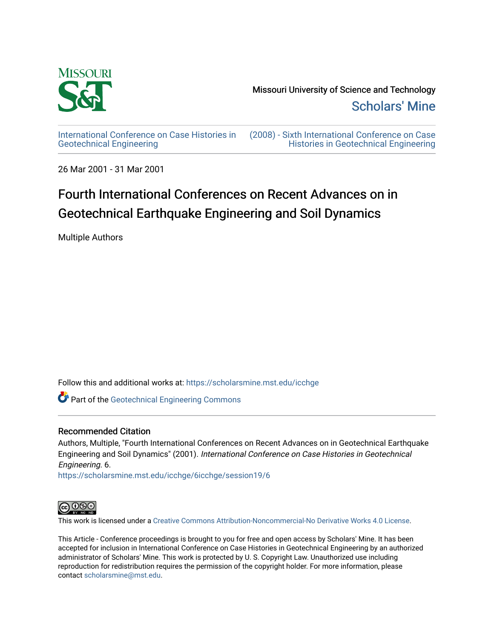

[International Conference on Case Histories in](https://scholarsmine.mst.edu/icchge)  [Geotechnical Engineering](https://scholarsmine.mst.edu/icchge)

[\(2008\) - Sixth International Conference on Case](https://scholarsmine.mst.edu/icchge/6icchge)  [Histories in Geotechnical Engineering](https://scholarsmine.mst.edu/icchge/6icchge) 

26 Mar 2001 - 31 Mar 2001

# Fourth International Conferences on Recent Advances on in Geotechnical Earthquake Engineering and Soil Dynamics

Multiple Authors

Follow this and additional works at: [https://scholarsmine.mst.edu/icchge](https://scholarsmine.mst.edu/icchge?utm_source=scholarsmine.mst.edu%2Ficchge%2F6icchge%2Fsession19%2F6&utm_medium=PDF&utm_campaign=PDFCoverPages) 

**Part of the Geotechnical Engineering Commons** 

### Recommended Citation

Authors, Multiple, "Fourth International Conferences on Recent Advances on in Geotechnical Earthquake Engineering and Soil Dynamics" (2001). International Conference on Case Histories in Geotechnical Engineering. 6.

[https://scholarsmine.mst.edu/icchge/6icchge/session19/6](https://scholarsmine.mst.edu/icchge/6icchge/session19/6?utm_source=scholarsmine.mst.edu%2Ficchge%2F6icchge%2Fsession19%2F6&utm_medium=PDF&utm_campaign=PDFCoverPages)



This work is licensed under a [Creative Commons Attribution-Noncommercial-No Derivative Works 4.0 License.](https://creativecommons.org/licenses/by-nc-nd/4.0/)

This Article - Conference proceedings is brought to you for free and open access by Scholars' Mine. It has been accepted for inclusion in International Conference on Case Histories in Geotechnical Engineering by an authorized administrator of Scholars' Mine. This work is protected by U. S. Copyright Law. Unauthorized use including reproduction for redistribution requires the permission of the copyright holder. For more information, please contact [scholarsmine@mst.edu](mailto:scholarsmine@mst.edu).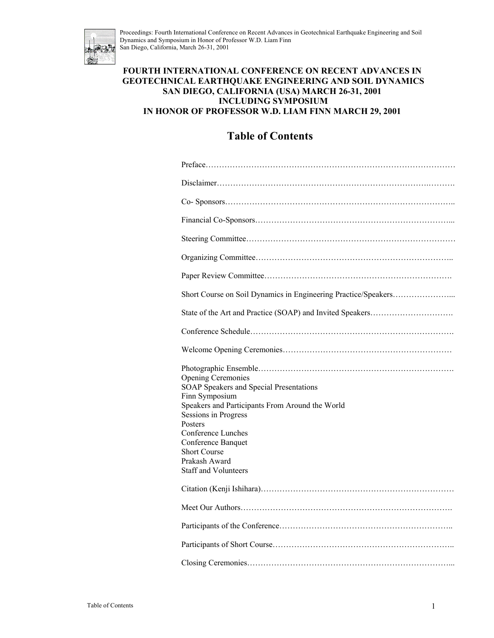

#### **FOURTH INTERNATIONAL CONFERENCE ON RECENT ADVANCES IN GEOTECHNICAL EARTHQUAKE ENGINEERING AND SOIL DYNAMICS SAN DIEGO, CALIFORNIA (USA) MARCH 26-31, 2001 INCLUDING SYMPOSIUM IN HONOR OF PROFESSOR W.D. LIAM FINN MARCH 29, 2001**

## **Table of Contents**

| <b>Opening Ceremonies</b><br>SOAP Speakers and Special Presentations<br>Finn Symposium<br>Speakers and Participants From Around the World<br>Sessions in Progress<br>Posters<br>Conference Lunches<br>Conference Banquet<br><b>Short Course</b><br>Prakash Award<br><b>Staff and Volunteers</b> |
|-------------------------------------------------------------------------------------------------------------------------------------------------------------------------------------------------------------------------------------------------------------------------------------------------|
|                                                                                                                                                                                                                                                                                                 |
|                                                                                                                                                                                                                                                                                                 |
|                                                                                                                                                                                                                                                                                                 |
|                                                                                                                                                                                                                                                                                                 |
|                                                                                                                                                                                                                                                                                                 |
|                                                                                                                                                                                                                                                                                                 |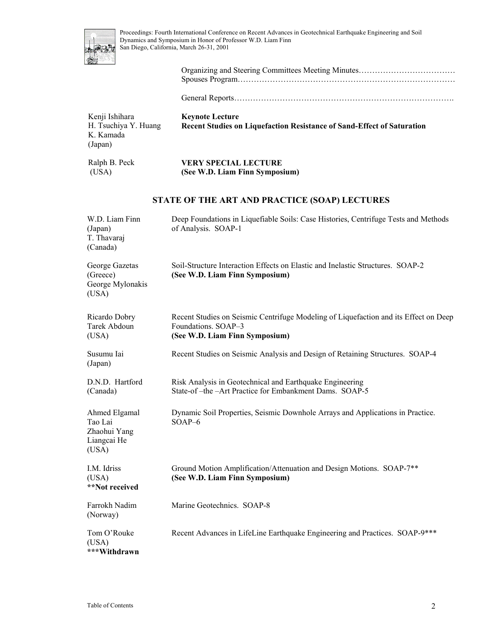

General Reports……………………………………………………………………….

| Kenji Ishihara<br>H. Tsuchiya Y. Huang<br>K. Kamada<br>(Japan)   | <b>Keynote Lecture</b><br>Recent Studies on Liquefaction Resistance of Sand-Effect of Saturation                                              |
|------------------------------------------------------------------|-----------------------------------------------------------------------------------------------------------------------------------------------|
| Ralph B. Peck<br>(USA)                                           | <b>VERY SPECIAL LECTURE</b><br>(See W.D. Liam Finn Symposium)                                                                                 |
|                                                                  | STATE OF THE ART AND PRACTICE (SOAP) LECTURES                                                                                                 |
| W.D. Liam Finn<br>(Japan)<br>T. Thavaraj<br>(Canada)             | Deep Foundations in Liquefiable Soils: Case Histories, Centrifuge Tests and Methods<br>of Analysis. SOAP-1                                    |
| George Gazetas<br>(Greece)<br>George Mylonakis<br>(USA)          | Soil-Structure Interaction Effects on Elastic and Inelastic Structures. SOAP-2<br>(See W.D. Liam Finn Symposium)                              |
| Ricardo Dobry<br>Tarek Abdoun<br>(USA)                           | Recent Studies on Seismic Centrifuge Modeling of Liquefaction and its Effect on Deep<br>Foundations. SOAP-3<br>(See W.D. Liam Finn Symposium) |
| Susumu Iai<br>(Japan)                                            | Recent Studies on Seismic Analysis and Design of Retaining Structures. SOAP-4                                                                 |
| D.N.D. Hartford<br>(Canada)                                      | Risk Analysis in Geotechnical and Earthquake Engineering<br>State-of-the-Art Practice for Embankment Dams. SOAP-5                             |
| Ahmed Elgamal<br>Tao Lai<br>Zhaohui Yang<br>Liangcai He<br>(USA) | Dynamic Soil Properties, Seismic Downhole Arrays and Applications in Practice.<br>SOAP-6                                                      |
| I.M. Idriss<br>(USA)<br>**Not received                           | Ground Motion Amplification/Attenuation and Design Motions. SOAP-7**<br>(See W.D. Liam Finn Symposium)                                        |
| Farrokh Nadim<br>(Norway)                                        | Marine Geotechnics. SOAP-8                                                                                                                    |
| Tom O'Rouke<br>(USA)<br>***Withdrawn                             | Recent Advances in LifeLine Earthquake Engineering and Practices. SOAP-9 ***                                                                  |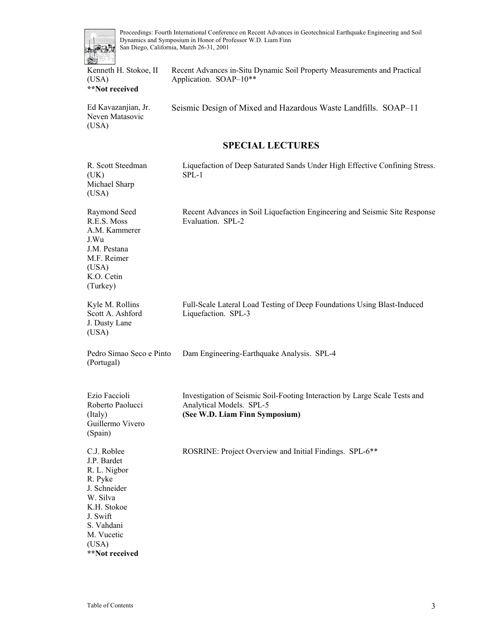

Recent Advances in-Situ Dynamic Soil Property Measurements and Practical

(USA) **\*\*Not received**  Application. SOAP–10\*\* Ed Kavazanjian, Jr. Neven Matasovic  $(IISA)$ Seismic Design of Mixed and Hazardous Waste Landfills. SOAP–11 **SPECIAL LECTURES**  R. Scott Steedman  $(UK)$ Michael Sharp (USA) Liquefaction of Deep Saturated Sands Under High Effective Confining Stress. SPL-1 Raymond Seed R.E.S. Moss A.M. Kammerer J.Wu J.M. Pestana M.F. Reimer (USA) K.O. Cetin (Turkey) Recent Advances in Soil Liquefaction Engineering and Seismic Site Response Evaluation. SPL-2 Kyle M. Rollins Scott A. Ashford J. Dusty Lane (USA) Full-Scale Lateral Load Testing of Deep Foundations Using Blast-Induced Liquefaction. SPL-3 Pedro Simao Seco e Pinto (Portugal) Dam Engineering-Earthquake Analysis. SPL-4 Ezio Faccioli Roberto Paolucci (Italy) Guillermo Vivero (Spain) Investigation of Seismic Soil-Footing Interaction by Large Scale Tests and Analytical Models. SPL-5 **(See W.D. Liam Finn Symposium)** C.J. Roblee J.P. Bardet R. L. Nigbor R. Pyke J. Schneider W. Silva K.H. Stokoe J. Swift S. Vahdani M. Vucetic (USA) ROSRINE: Project Overview and Initial Findings. SPL-6\*\*

**\*\*Not received**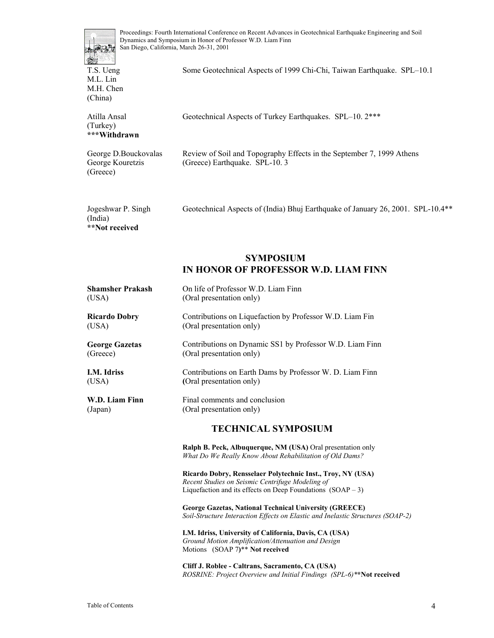

T.S. Ueng M.L. Lin M.H. Chen (China)

**\*\*Not received** 

Some Geotechnical Aspects of 1999 Chi-Chi, Taiwan Earthquake. SPL–10.1

| Atilla Ansal<br>(Turkey)<br>***Withdrawn             | Geotechnical Aspects of Turkey Earthquakes. SPL-10. 2***                                                 |
|------------------------------------------------------|----------------------------------------------------------------------------------------------------------|
| George D.Bouckovalas<br>George Kouretzis<br>(Greece) | Review of Soil and Topography Effects in the September 7, 1999 Athens<br>(Greece) Earthquake. $SPL-10.3$ |
| Jogeshwar P. Singh<br>(India)                        | Geotechnical Aspects of (India) Bhuj Earthquake of January 26, 2001. SPL-10.4**                          |

### **SYMPOSIUM IN HONOR OF PROFESSOR W.D. LIAM FINN**

| Shamsher Prakash      | On life of Professor W.D. Liam Finn                                                                                                                                              |
|-----------------------|----------------------------------------------------------------------------------------------------------------------------------------------------------------------------------|
| (USA)                 | (Oral presentation only)                                                                                                                                                         |
| Ricardo Dobry         | Contributions on Liquefaction by Professor W.D. Liam Fin                                                                                                                         |
| (USA)                 | (Oral presentation only)                                                                                                                                                         |
| <b>George Gazetas</b> | Contributions on Dynamic SS1 by Professor W.D. Liam Finn                                                                                                                         |
| (Greece)              | (Oral presentation only)                                                                                                                                                         |
| I.M. Idriss           | Contributions on Earth Dams by Professor W. D. Liam Finn                                                                                                                         |
| (USA)                 | (Oral presentation only)                                                                                                                                                         |
| W.D. Liam Finn        | Final comments and conclusion                                                                                                                                                    |
| (Japan)               | (Oral presentation only)                                                                                                                                                         |
|                       | <b>TECHNICAL SYMPOSIUM</b>                                                                                                                                                       |
|                       | <b>Ralph B. Peck, Albuquerque, NM (USA)</b> Oral presentation only<br>What Do We Really Know About Rehabilitation of Old Dams?                                                   |
|                       | Ricardo Dobry, Rensselaer Polytechnic Inst., Troy, NY (USA)<br>Recent Studies on Seismic Centrifuge Modeling of<br>Liquefaction and its effects on Deep Foundations $(SOAP - 3)$ |

**George Gazetas, National Technical University (GREECE)** *Soil-Structure Interaction Effects on Elastic and Inelastic Structures (SOAP-2)* 

**I.M. Idriss, University of California, Davis, CA (USA)** *Ground Motion Amplification/Attenuation and Design*  Motions (SOAP 7**)**\*\* **Not received**

**Cliff J. Roblee - Caltrans, Sacramento, CA (USA)** *ROSRINE: Project Overview and Initial Findings (SPL-6)\****\*Not received**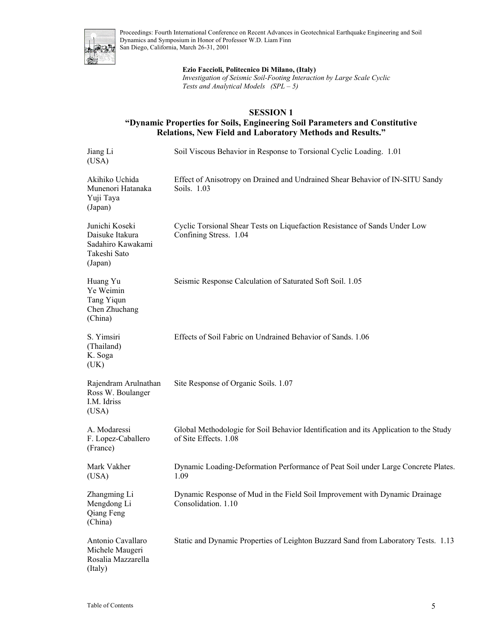

#### **Ezio Faccioli, Politecnico Di Milano, (Italy)**

*Investigation of Seismic Soil-Footing Interaction by Large Scale Cyclic Tests and Analytical Models (SPL – 5)* 

#### **SESSION 1**

### **"Dynamic Properties for Soils, Engineering Soil Parameters and Constitutive Relations, New Field and Laboratory Methods and Results."**

| Jiang Li<br>(USA)                                                                 | Soil Viscous Behavior in Response to Torsional Cyclic Loading. 1.01                                            |
|-----------------------------------------------------------------------------------|----------------------------------------------------------------------------------------------------------------|
| Akihiko Uchida<br>Munenori Hatanaka<br>Yuji Taya<br>(Japan)                       | Effect of Anisotropy on Drained and Undrained Shear Behavior of IN-SITU Sandy<br>Soils. 1.03                   |
| Junichi Koseki<br>Daisuke Itakura<br>Sadahiro Kawakami<br>Takeshi Sato<br>(Japan) | Cyclic Torsional Shear Tests on Liquefaction Resistance of Sands Under Low<br>Confining Stress. 1.04           |
| Huang Yu<br>Ye Weimin<br>Tang Yiqun<br>Chen Zhuchang<br>(China)                   | Seismic Response Calculation of Saturated Soft Soil. 1.05                                                      |
| S. Yimsiri<br>(Thailand)<br>K. Soga<br>(UK)                                       | Effects of Soil Fabric on Undrained Behavior of Sands. 1.06                                                    |
| Rajendram Arulnathan<br>Ross W. Boulanger<br>I.M. Idriss<br>(USA)                 | Site Response of Organic Soils. 1.07                                                                           |
| A. Modaressi<br>F. Lopez-Caballero<br>(France)                                    | Global Methodologie for Soil Behavior Identification and its Application to the Study<br>of Site Effects. 1.08 |
| Mark Vakher<br>(USA)                                                              | Dynamic Loading-Deformation Performance of Peat Soil under Large Concrete Plates.<br>1.09                      |
| Zhangming Li<br>Mengdong Li<br>Qiang Feng<br>(China)                              | Dynamic Response of Mud in the Field Soil Improvement with Dynamic Drainage<br>Consolidation. 1.10             |
| Antonio Cavallaro<br>Michele Maugeri<br>Rosalia Mazzarella<br>(Italy)             | Static and Dynamic Properties of Leighton Buzzard Sand from Laboratory Tests. 1.13                             |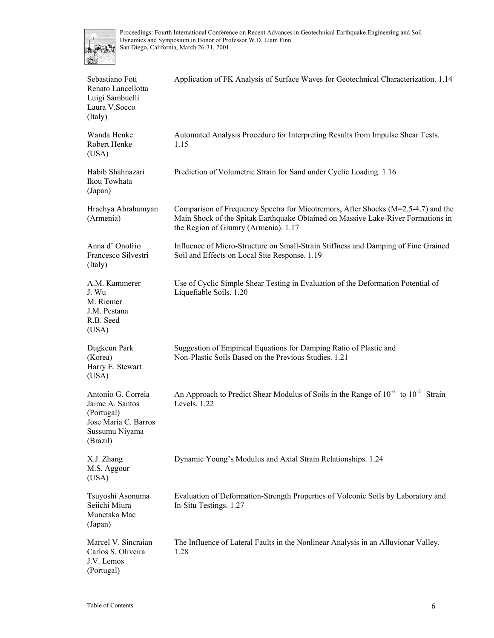

| Sebastiano Foti<br>Renato Lancellotta<br>Luigi Sambuelli<br>Laura V.Socco<br>(Italy)                      | Application of FK Analysis of Surface Waves for Geotechnical Characterization. 1.14                                                                                                                               |
|-----------------------------------------------------------------------------------------------------------|-------------------------------------------------------------------------------------------------------------------------------------------------------------------------------------------------------------------|
| Wanda Henke<br>Robert Henke<br>(USA)                                                                      | Automated Analysis Procedure for Interpreting Results from Impulse Shear Tests.<br>1.15                                                                                                                           |
| Habib Shahnazari<br>Ikou Towhata<br>(Japan)                                                               | Prediction of Volumetric Strain for Sand under Cyclic Loading. 1.16                                                                                                                                               |
| Hrachya Abrahamyan<br>(Armenia)                                                                           | Comparison of Frequency Spectra for Micotremors, After Shocks ( $M=2.5-4.7$ ) and the<br>Main Shock of the Spitak Earthquake Obtained on Massive Lake-River Formations in<br>the Region of Giumry (Armenia). 1.17 |
| Anna d'Onofrio<br>Francesco Silvestri<br>(Italy)                                                          | Influence of Micro-Structure on Small-Strain Stiffness and Damping of Fine Grained<br>Soil and Effects on Local Site Response. 1.19                                                                               |
| A.M. Kammerer<br>J. Wu<br>M. Riemer<br>J.M. Pestana<br>R.B. Seed<br>(USA)                                 | Use of Cyclic Simple Shear Testing in Evaluation of the Deformation Potential of<br>Liquefiable Soils. 1.20                                                                                                       |
| Dugkeun Park<br>(Korea)<br>Harry E. Stewart<br>(USA)                                                      | Suggestion of Empirical Equations for Damping Ratio of Plastic and<br>Non-Plastic Soils Based on the Previous Studies. 1.21                                                                                       |
| Antonio G. Correia<br>Jaime A. Santos<br>(Portugal)<br>Jose Maria C. Barros<br>Sussumu Niyama<br>(Brazil) | An Approach to Predict Shear Modulus of Soils in the Range of 10 <sup>-6</sup> to 10 <sup>-2</sup> Strain<br>Levels. 1.22                                                                                         |
| X.J. Zhang<br>M.S. Aggour<br>(USA)                                                                        | Dynamic Young's Modulus and Axial Strain Relationships. 1.24                                                                                                                                                      |
| Tsuyoshi Asonuma<br>Seiichi Miura<br>Munetaka Mae<br>(Japan)                                              | Evaluation of Deformation-Strength Properties of Volconic Soils by Laboratory and<br>In-Situ Testings. 1.27                                                                                                       |
| Marcel V. Sincraian<br>Carlos S. Oliveira<br>J.V. Lemos<br>(Portugal)                                     | The Influence of Lateral Faults in the Nonlinear Analysis in an Alluvionar Valley.<br>1.28                                                                                                                        |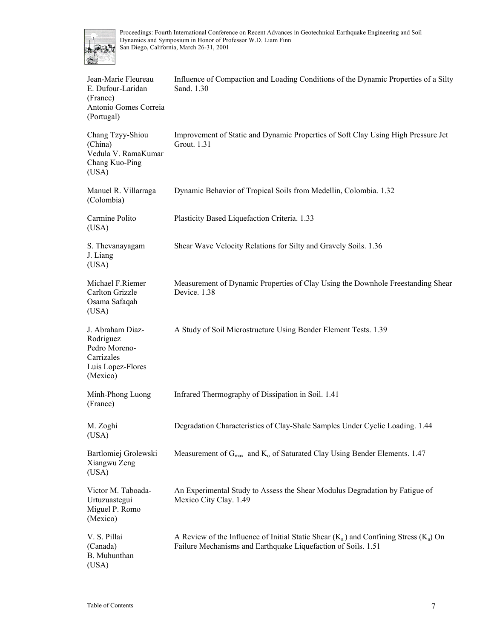

| Jean-Marie Fleureau<br>E. Dufour-Laridan<br>(France)<br>Antonio Gomes Correia<br>(Portugal)   | Influence of Compaction and Loading Conditions of the Dynamic Properties of a Silty<br>Sand. 1.30                                                          |
|-----------------------------------------------------------------------------------------------|------------------------------------------------------------------------------------------------------------------------------------------------------------|
| Chang Tzyy-Shiou<br>(China)<br>Vedula V. RamaKumar<br>Chang Kuo-Ping<br>(USA)                 | Improvement of Static and Dynamic Properties of Soft Clay Using High Pressure Jet<br>Grout. 1.31                                                           |
| Manuel R. Villarraga<br>(Colombia)                                                            | Dynamic Behavior of Tropical Soils from Medellin, Colombia. 1.32                                                                                           |
| Carmine Polito<br>(USA)                                                                       | Plasticity Based Liquefaction Criteria. 1.33                                                                                                               |
| S. Thevanayagam<br>J. Liang<br>(USA)                                                          | Shear Wave Velocity Relations for Silty and Gravely Soils. 1.36                                                                                            |
| Michael F.Riemer<br>Carlton Grizzle<br>Osama Safaqah<br>(USA)                                 | Measurement of Dynamic Properties of Clay Using the Downhole Freestanding Shear<br>Device. 1.38                                                            |
| J. Abraham Diaz-<br>Rodriguez<br>Pedro Moreno-<br>Carrizales<br>Luis Lopez-Flores<br>(Mexico) | A Study of Soil Microstructure Using Bender Element Tests. 1.39                                                                                            |
| Minh-Phong Luong<br>(France)                                                                  | Infrared Thermography of Dissipation in Soil. 1.41                                                                                                         |
| M. Zoghi<br>(USA)                                                                             | Degradation Characteristics of Clay-Shale Samples Under Cyclic Loading. 1.44                                                                               |
| Bartlomiej Grolewski<br>Xiangwu Zeng<br>(USA)                                                 | Measurement of $G_{\text{max}}$ and $K_o$ of Saturated Clay Using Bender Elements. 1.47                                                                    |
| Victor M. Taboada-<br>Urtuzuastegui<br>Miguel P. Romo<br>(Mexico)                             | An Experimental Study to Assess the Shear Modulus Degradation by Fatigue of<br>Mexico City Clay. 1.49                                                      |
| V. S. Pillai<br>(Canada)<br><b>B.</b> Muhunthan<br>(USA)                                      | A Review of the Influence of Initial Static Shear $(K_a)$ and Confining Stress $(K_a)$ On<br>Failure Mechanisms and Earthquake Liquefaction of Soils. 1.51 |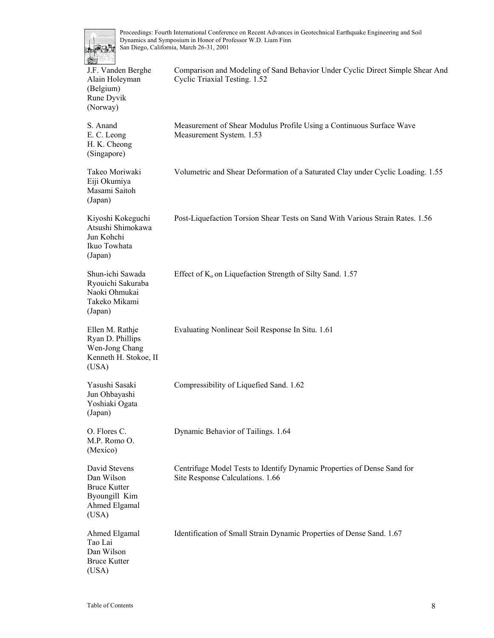

| 수준수 아이들<br>J.F. Vanden Berghe<br>Alain Holeyman<br>(Belgium)<br>Rune Dyvik<br>(Norway)        | Comparison and Modeling of Sand Behavior Under Cyclic Direct Simple Shear And<br>Cyclic Triaxial Testing. 1.52 |
|-----------------------------------------------------------------------------------------------|----------------------------------------------------------------------------------------------------------------|
| S. Anand<br>E. C. Leong<br>H. K. Cheong<br>(Singapore)                                        | Measurement of Shear Modulus Profile Using a Continuous Surface Wave<br>Measurement System. 1.53               |
| Takeo Moriwaki<br>Eiji Okumiya<br>Masami Saitoh<br>(Japan)                                    | Volumetric and Shear Deformation of a Saturated Clay under Cyclic Loading. 1.55                                |
| Kiyoshi Kokeguchi<br>Atsushi Shimokawa<br>Jun Kohchi<br>Ikuo Towhata<br>(Japan)               | Post-Liquefaction Torsion Shear Tests on Sand With Various Strain Rates. 1.56                                  |
| Shun-ichi Sawada<br>Ryouichi Sakuraba<br>Naoki Ohmukai<br>Takeko Mikami<br>(Japan)            | Effect of K <sub>o</sub> on Liquefaction Strength of Silty Sand. 1.57                                          |
| Ellen M. Rathje<br>Ryan D. Phillips<br>Wen-Jong Chang<br>Kenneth H. Stokoe, II<br>(USA)       | Evaluating Nonlinear Soil Response In Situ. 1.61                                                               |
| Yasushi Sasaki<br>Jun Ohbayashi<br>Yoshiaki Ogata<br>(Japan)                                  | Compressibility of Liquefied Sand. 1.62                                                                        |
| O. Flores C.<br>M.P. Romo O.<br>(Mexico)                                                      | Dynamic Behavior of Tailings. 1.64                                                                             |
| David Stevens<br>Dan Wilson<br><b>Bruce Kutter</b><br>Byoungill Kim<br>Ahmed Elgamal<br>(USA) | Centrifuge Model Tests to Identify Dynamic Properties of Dense Sand for<br>Site Response Calculations. 1.66    |
| Ahmed Elgamal<br>Tao Lai<br>Dan Wilson<br><b>Bruce Kutter</b><br>(USA)                        | Identification of Small Strain Dynamic Properties of Dense Sand. 1.67                                          |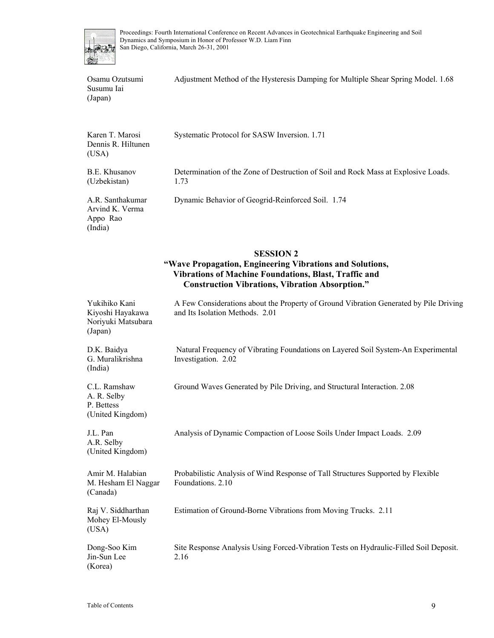

Osamu Ozutsumi Susumu Iai (Japan) Adjustment Method of the Hysteresis Damping for Multiple Shear Spring Model. 1.68

| Karen T. Marosi<br>Dennis R. Hiltunen<br>(USA)                     | Systematic Protocol for SASW Inversion. 1.71                                                                                                                                                           |
|--------------------------------------------------------------------|--------------------------------------------------------------------------------------------------------------------------------------------------------------------------------------------------------|
| B.E. Khusanov<br>(Uzbekistan)                                      | Determination of the Zone of Destruction of Soil and Rock Mass at Explosive Loads.<br>1.73                                                                                                             |
| A.R. Santhakumar<br>Arvind K. Verma<br>Appo Rao<br>(India)         | Dynamic Behavior of Geogrid-Reinforced Soil. 1.74                                                                                                                                                      |
|                                                                    | <b>SESSION 2</b><br>"Wave Propagation, Engineering Vibrations and Solutions,<br><b>Vibrations of Machine Foundations, Blast, Traffic and</b><br><b>Construction Vibrations, Vibration Absorption."</b> |
| Yukihiko Kani<br>Kiyoshi Hayakawa<br>Noriyuki Matsubara<br>(Japan) | A Few Considerations about the Property of Ground Vibration Generated by Pile Driving<br>and Its Isolation Methods. 2.01                                                                               |
| D.K. Baidya<br>G. Muralikrishna                                    | Natural Frequency of Vibrating Foundations on Layered Soil System-An Experimental<br>Investigation. 2.02                                                                                               |

C.L. Ramshaw A. R. Selby P. Bettess (United Kingdom)

(India)

J.L. Pan A.R. Selby Investigation. 2.02

Ground Waves Generated by Pile Driving, and Structural Interaction. 2.08

(United Kingdom) Analysis of Dynamic Compaction of Loose Soils Under Impact Loads. 2.09 Amir M. Halabian M. Hesham El Naggar (Canada) Probabilistic Analysis of Wind Response of Tall Structures Supported by Flexible Foundations. 2.10 Raj V. Siddharthan Mohey El-Mously (USA) Estimation of Ground-Borne Vibrations from Moving Trucks. 2.11 Dong-Soo Kim Jin-Sun Lee Site Response Analysis Using Forced-Vibration Tests on Hydraulic-Filled Soil Deposit. 2.16

(Korea)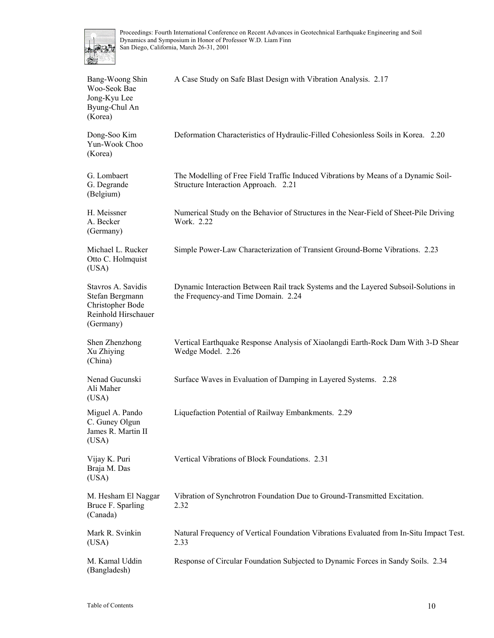

| Bang-Woong Shin<br>Woo-Seok Bae<br>Jong-Kyu Lee<br>Byung-Chul An<br>(Korea)                   | A Case Study on Safe Blast Design with Vibration Analysis. 2.17                                                            |
|-----------------------------------------------------------------------------------------------|----------------------------------------------------------------------------------------------------------------------------|
| Dong-Soo Kim<br>Yun-Wook Choo<br>(Korea)                                                      | Deformation Characteristics of Hydraulic-Filled Cohesionless Soils in Korea. 2.20                                          |
| G. Lombaert<br>G. Degrande<br>(Belgium)                                                       | The Modelling of Free Field Traffic Induced Vibrations by Means of a Dynamic Soil-<br>Structure Interaction Approach. 2.21 |
| H. Meissner<br>A. Becker<br>(Germany)                                                         | Numerical Study on the Behavior of Structures in the Near-Field of Sheet-Pile Driving<br>Work. 2.22                        |
| Michael L. Rucker<br>Otto C. Holmquist<br>(USA)                                               | Simple Power-Law Characterization of Transient Ground-Borne Vibrations. 2.23                                               |
| Stavros A. Savidis<br>Stefan Bergmann<br>Christopher Bode<br>Reinhold Hirschauer<br>(Germany) | Dynamic Interaction Between Rail track Systems and the Layered Subsoil-Solutions in<br>the Frequency-and Time Domain. 2.24 |
| Shen Zhenzhong<br>Xu Zhiying<br>(China)                                                       | Vertical Earthquake Response Analysis of Xiaolangdi Earth-Rock Dam With 3-D Shear<br>Wedge Model. 2.26                     |
| Nenad Gucunski<br>Ali Maher<br>(USA)                                                          | Surface Waves in Evaluation of Damping in Layered Systems. 2.28                                                            |
| Miguel A. Pando<br>C. Guney Olgun<br>James R. Martin II<br>(USA)                              | Liquefaction Potential of Railway Embankments. 2.29                                                                        |
| Vijay K. Puri<br>Braja M. Das<br>(USA)                                                        | Vertical Vibrations of Block Foundations. 2.31                                                                             |
| M. Hesham El Naggar<br>Bruce F. Sparling<br>(Canada)                                          | Vibration of Synchrotron Foundation Due to Ground-Transmitted Excitation.<br>2.32                                          |
| Mark R. Svinkin<br>(USA)                                                                      | Natural Frequency of Vertical Foundation Vibrations Evaluated from In-Situ Impact Test.<br>2.33                            |
| M. Kamal Uddin<br>(Bangladesh)                                                                | Response of Circular Foundation Subjected to Dynamic Forces in Sandy Soils. 2.34                                           |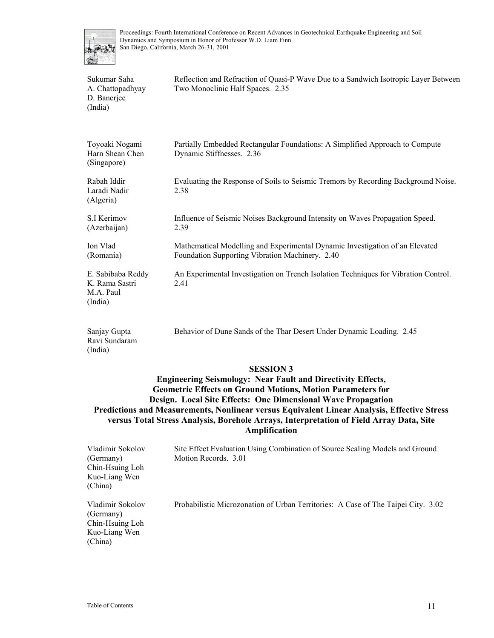

| Sukumar Saha<br>A. Chattopadhyay<br>D. Banerjee<br>(India)  | Reflection and Refraction of Quasi-P Wave Due to a Sandwich Isotropic Layer Between<br>Two Monoclinic Half Spaces. 2.35         |
|-------------------------------------------------------------|---------------------------------------------------------------------------------------------------------------------------------|
| Toyoaki Nogami<br>Harn Shean Chen<br>(Singapore)            | Partially Embedded Rectangular Foundations: A Simplified Approach to Compute<br>Dynamic Stiffnesses. 2.36                       |
| Rabah Iddir<br>Laradi Nadir<br>(Algeria)                    | Evaluating the Response of Soils to Seismic Tremors by Recording Background Noise.<br>2.38                                      |
| S.I Kerimov<br>(Azerbaijan)                                 | Influence of Seismic Noises Background Intensity on Waves Propagation Speed.<br>2.39                                            |
| Ion Vlad<br>(Romania)                                       | Mathematical Modelling and Experimental Dynamic Investigation of an Elevated<br>Foundation Supporting Vibration Machinery. 2.40 |
| E. Sabibaba Reddy<br>K. Rama Sastri<br>M.A. Paul<br>(India) | An Experimental Investigation on Trench Isolation Techniques for Vibration Control.<br>2.41                                     |
| Sanjay Gupta<br>Ravi Sundaram<br>(India)                    | Behavior of Dune Sands of the Thar Desert Under Dynamic Loading. 2.45                                                           |

#### **SESSION 3**

**Engineering Seismology: Near Fault and Directivity Effects, Geometric Effects on Ground Motions, Motion Parameters for Design. Local Site Effects: One Dimensional Wave Propagation Predictions and Measurements, Nonlinear versus Equivalent Linear Analysis, Effective Stress versus Total Stress Analysis, Borehole Arrays, Interpretation of Field Array Data, Site Amplification** 

| Vladimir Sokolov<br>(Germany)<br>Chin-Hsuing Loh<br>Kuo-Liang Wen<br>(China) | Site Effect Evaluation Using Combination of Source Scaling Models and Ground<br>Motion Records. 3.01 |
|------------------------------------------------------------------------------|------------------------------------------------------------------------------------------------------|
| Vladimir Sokolov<br>(Germany)<br>Chin-Hsuing Loh<br>Kuo-Liang Wen            | Probabilistic Microzonation of Urban Territories: A Case of The Taipei City. 3.02                    |

(China)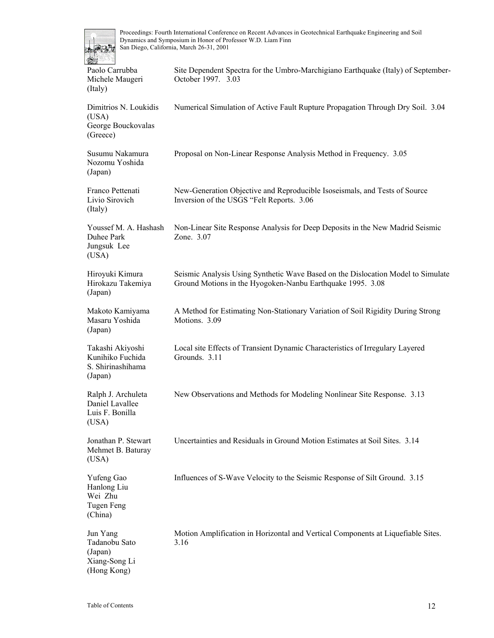

| OS.                                                                  |                                                                                                                                                |
|----------------------------------------------------------------------|------------------------------------------------------------------------------------------------------------------------------------------------|
| Paolo Carrubba<br>Michele Maugeri<br>(Italy)                         | Site Dependent Spectra for the Umbro-Marchigiano Earthquake (Italy) of September-<br>October 1997. 3.03                                        |
| Dimitrios N. Loukidis<br>(USA)<br>George Bouckovalas<br>(Greece)     | Numerical Simulation of Active Fault Rupture Propagation Through Dry Soil. 3.04                                                                |
| Susumu Nakamura<br>Nozomu Yoshida<br>(Japan)                         | Proposal on Non-Linear Response Analysis Method in Frequency. 3.05                                                                             |
| Franco Pettenati<br>Livio Sirovich<br>(Italy)                        | New-Generation Objective and Reproducible Isoseismals, and Tests of Source<br>Inversion of the USGS "Felt Reports. 3.06                        |
| Youssef M. A. Hashash<br>Duhee Park<br>Jungsuk Lee<br>(USA)          | Non-Linear Site Response Analysis for Deep Deposits in the New Madrid Seismic<br>Zone. 3.07                                                    |
| Hiroyuki Kimura<br>Hirokazu Takemiya<br>(Japan)                      | Seismic Analysis Using Synthetic Wave Based on the Dislocation Model to Simulate<br>Ground Motions in the Hyogoken-Nanbu Earthquake 1995. 3.08 |
| Makoto Kamiyama<br>Masaru Yoshida<br>(Japan)                         | A Method for Estimating Non-Stationary Variation of Soil Rigidity During Strong<br>Motions. 3.09                                               |
| Takashi Akiyoshi<br>Kunihiko Fuchida<br>S. Shirinashihama<br>(Japan) | Local site Effects of Transient Dynamic Characteristics of Irregulary Layered<br>Grounds. 3.11                                                 |
| Ralph J. Archuleta<br>Daniel Lavallee<br>Luis F. Bonilla<br>(USA)    | New Observations and Methods for Modeling Nonlinear Site Response. 3.13                                                                        |
| Jonathan P. Stewart<br>Mehmet B. Baturay<br>(USA)                    | Uncertainties and Residuals in Ground Motion Estimates at Soil Sites. 3.14                                                                     |
| Yufeng Gao<br>Hanlong Liu<br>Wei Zhu<br><b>Tugen Feng</b><br>(China) | Influences of S-Wave Velocity to the Seismic Response of Silt Ground. 3.15                                                                     |
| Jun Yang<br>Tadanobu Sato<br>(Japan)<br>Xiang-Song Li<br>(Hong Kong) | Motion Amplification in Horizontal and Vertical Components at Liquefiable Sites.<br>3.16                                                       |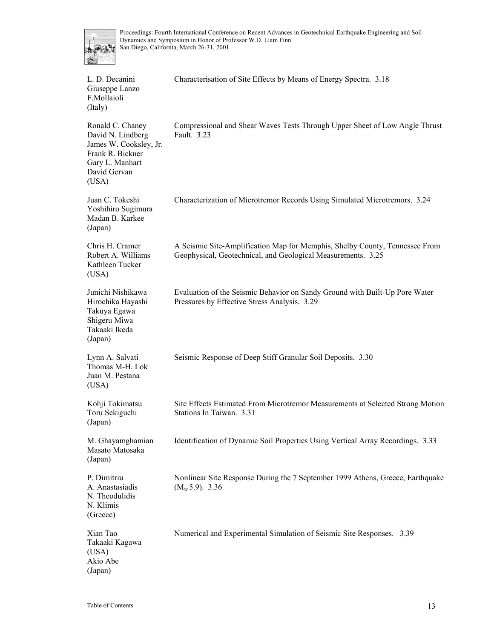

| L. D. Decanini<br>Giuseppe Lanzo<br>F.Mollaioli<br>(Italy)                                                                      | Characterisation of Site Effects by Means of Energy Spectra. 3.18                                                                           |
|---------------------------------------------------------------------------------------------------------------------------------|---------------------------------------------------------------------------------------------------------------------------------------------|
| Ronald C. Chaney<br>David N. Lindberg<br>James W. Cooksley, Jr.<br>Frank R. Bickner<br>Gary L. Manhart<br>David Gervan<br>(USA) | Compressional and Shear Waves Tests Through Upper Sheet of Low Angle Thrust<br>Fault. 3.23                                                  |
| Juan C. Tokeshi<br>Yoshihiro Sugimura<br>Madan B. Karkee<br>(Japan)                                                             | Characterization of Microtremor Records Using Simulated Microtremors. 3.24                                                                  |
| Chris H. Cramer<br>Robert A. Williams<br>Kathleen Tucker<br>(USA)                                                               | A Seismic Site-Amplification Map for Memphis, Shelby County, Tennessee From<br>Geophysical, Geotechnical, and Geological Measurements. 3.25 |
| Junichi Nishikawa<br>Hirochika Hayashi<br>Takuya Egawa<br>Shigeru Miwa<br>Takaaki Ikeda<br>(Japan)                              | Evaluation of the Seismic Behavior on Sandy Ground with Built-Up Pore Water<br>Pressures by Effective Stress Analysis. 3.29                 |
| Lynn A. Salvati<br>Thomas M-H. Lok<br>Juan M. Pestana<br>(USA)                                                                  | Seismic Response of Deep Stiff Granular Soil Deposits. 3.30                                                                                 |
| Kohji Tokimatsu<br>Toru Sekiguchi<br>(Japan)                                                                                    | Site Effects Estimated From Microtremor Measurements at Selected Strong Motion<br>Stations In Taiwan. 3.31                                  |
| M. Ghayamghamian<br>Masato Matosaka<br>(Japan)                                                                                  | Identification of Dynamic Soil Properties Using Vertical Array Recordings. 3.33                                                             |
| P. Dimitriu<br>A. Anastasiadis<br>N. Theodulidis<br>N. Klimis<br>(Greece)                                                       | Nonlinear Site Response During the 7 September 1999 Athens, Greece, Earthquake<br>$(M_w 5.9)$ . 3.36                                        |
| Xian Tao<br>Takaaki Kagawa<br>(USA)<br>Akio Abe<br>(Japan)                                                                      | Numerical and Experimental Simulation of Seismic Site Responses. 3.39                                                                       |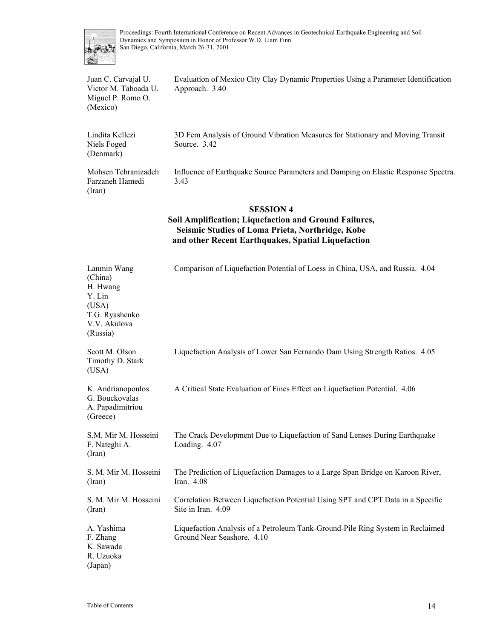

Juan C. Carvajal U. Victor M. Taboada U. Miguel P. Romo O. (Mexico) Evaluation of Mexico City Clay Dynamic Properties Using a Parameter Identification Approach. 3.40 Lindita Kellezi Niels Foged (Denmark) 3D Fem Analysis of Ground Vibration Measures for Stationary and Moving Transit Source. 3.42 Mohsen Tehranizadeh Farzaneh Hamedi (Iran) Influence of Earthquake Source Parameters and Damping on Elastic Response Spectra. 3.43

#### **SESSION 4**

#### **Soil Amplification; Liquefaction and Ground Failures, Seismic Studies of Loma Prieta, Northridge, Kobe and other Recent Earthquakes, Spatial Liquefaction**

| Lanmin Wang<br>(China)<br>H. Hwang<br>Y. Lin<br>(USA)<br>T.G. Ryashenko<br>V.V. Akulova<br>(Russia) | Comparison of Liquefaction Potential of Loess in China, USA, and Russia. 4.04                                |
|-----------------------------------------------------------------------------------------------------|--------------------------------------------------------------------------------------------------------------|
| Scott M. Olson<br>Timothy D. Stark<br>(USA)                                                         | Liquefaction Analysis of Lower San Fernando Dam Using Strength Ratios. 4.05                                  |
| K. Andrianopoulos<br>G. Bouckovalas<br>A. Papadimitriou<br>(Greece)                                 | A Critical State Evaluation of Fines Effect on Liquefaction Potential. 4.06                                  |
| S.M. Mir M. Hosseini<br>F. Nateghi A.<br>(Iran)                                                     | The Crack Development Due to Liquefaction of Sand Lenses During Earthquake<br>Loading. 4.07                  |
| S. M. Mir M. Hosseini<br>(Iran)                                                                     | The Prediction of Liquefaction Damages to a Large Span Bridge on Karoon River,<br>Iran. $4.08$               |
| S. M. Mir M. Hosseini<br>(Iran)                                                                     | Correlation Between Liquefaction Potential Using SPT and CPT Data in a Specific<br>Site in Iran. 4.09        |
| A. Yashima<br>F. Zhang<br>K. Sawada<br>R. Uzuoka<br>(Japan)                                         | Liquefaction Analysis of a Petroleum Tank-Ground-Pile Ring System in Reclaimed<br>Ground Near Seashore. 4.10 |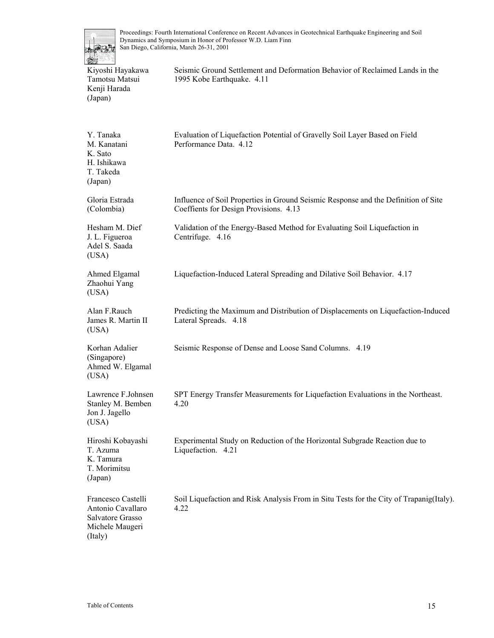

Kiyoshi Hayakawa Tamotsu Matsui Kenji Harada (Japan)

Seismic Ground Settlement and Deformation Behavior of Reclaimed Lands in the 1995 Kobe Earthquake. 4.11

| Y. Tanaka<br>M. Kanatani<br>K. Sato<br>H. Ishikawa<br>T. Takeda<br>(Japan)                | Evaluation of Liquefaction Potential of Gravelly Soil Layer Based on Field<br>Performance Data. 4.12                         |
|-------------------------------------------------------------------------------------------|------------------------------------------------------------------------------------------------------------------------------|
| Gloria Estrada<br>(Colombia)                                                              | Influence of Soil Properties in Ground Seismic Response and the Definition of Site<br>Coeffients for Design Provisions. 4.13 |
| Hesham M. Dief<br>J. L. Figueroa<br>Adel S. Saada<br>(USA)                                | Validation of the Energy-Based Method for Evaluating Soil Liquefaction in<br>Centrifuge. 4.16                                |
| Ahmed Elgamal<br>Zhaohui Yang<br>(USA)                                                    | Liquefaction-Induced Lateral Spreading and Dilative Soil Behavior. 4.17                                                      |
| Alan F.Rauch<br>James R. Martin II<br>(USA)                                               | Predicting the Maximum and Distribution of Displacements on Liquefaction-Induced<br>Lateral Spreads. 4.18                    |
| Korhan Adalier<br>(Singapore)<br>Ahmed W. Elgamal<br>(USA)                                | Seismic Response of Dense and Loose Sand Columns. 4.19                                                                       |
| Lawrence F.Johnsen<br>Stanley M. Bemben<br>Jon J. Jagello<br>(USA)                        | SPT Energy Transfer Measurements for Liquefaction Evaluations in the Northeast.<br>4.20                                      |
| Hiroshi Kobayashi<br>T. Azuma<br>K. Tamura<br>T. Morimitsu<br>(Japan)                     | Experimental Study on Reduction of the Horizontal Subgrade Reaction due to<br>Liquefaction. 4.21                             |
| Francesco Castelli<br>Antonio Cavallaro<br>Salvatore Grasso<br>Michele Maugeri<br>(Italy) | Soil Liquefaction and Risk Analysis From in Situ Tests for the City of Trapanig(Italy).<br>4.22                              |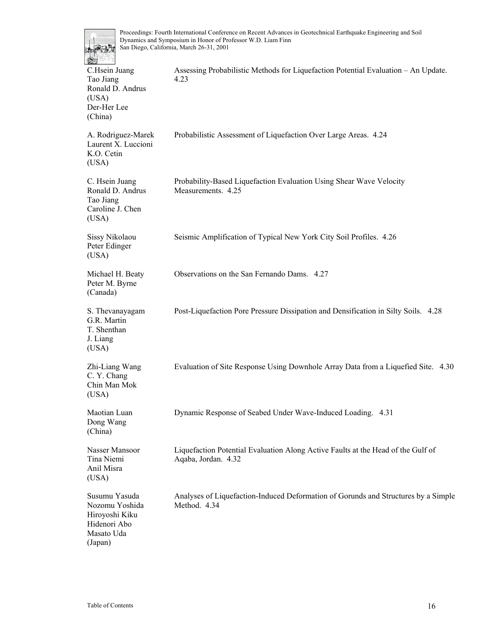

| 继                                                                                          |                                                                                                         |
|--------------------------------------------------------------------------------------------|---------------------------------------------------------------------------------------------------------|
| C.Hsein Juang<br>Tao Jiang<br>Ronald D. Andrus<br>(USA)<br>Der-Her Lee<br>(China)          | Assessing Probabilistic Methods for Liquefaction Potential Evaluation - An Update.<br>4.23              |
| A. Rodriguez-Marek<br>Laurent X. Luccioni<br>K.O. Cetin<br>(USA)                           | Probabilistic Assessment of Liquefaction Over Large Areas. 4.24                                         |
| C. Hsein Juang<br>Ronald D. Andrus<br>Tao Jiang<br>Caroline J. Chen<br>(USA)               | Probability-Based Liquefaction Evaluation Using Shear Wave Velocity<br>Measurements. 4.25               |
| Sissy Nikolaou<br>Peter Edinger<br>(USA)                                                   | Seismic Amplification of Typical New York City Soil Profiles. 4.26                                      |
| Michael H. Beaty<br>Peter M. Byrne<br>(Canada)                                             | Observations on the San Fernando Dams. 4.27                                                             |
| S. Thevanayagam<br>G.R. Martin<br>T. Shenthan<br>J. Liang<br>(USA)                         | Post-Liquefaction Pore Pressure Dissipation and Densification in Silty Soils. 4.28                      |
| Zhi-Liang Wang<br>C. Y. Chang<br>Chin Man Mok<br>(USA)                                     | Evaluation of Site Response Using Downhole Array Data from a Liquefied Site. 4.30                       |
| Maotian Luan<br>Dong Wang<br>(China)                                                       | Dynamic Response of Seabed Under Wave-Induced Loading. 4.31                                             |
| Nasser Mansoor<br>Tina Niemi<br>Anil Misra<br>(USA)                                        | Liquefaction Potential Evaluation Along Active Faults at the Head of the Gulf of<br>Aqaba, Jordan. 4.32 |
| Susumu Yasuda<br>Nozomu Yoshida<br>Hiroyoshi Kiku<br>Hidenori Abo<br>Masato Uda<br>(Japan) | Analyses of Liquefaction-Induced Deformation of Gorunds and Structures by a Simple<br>Method. 4.34      |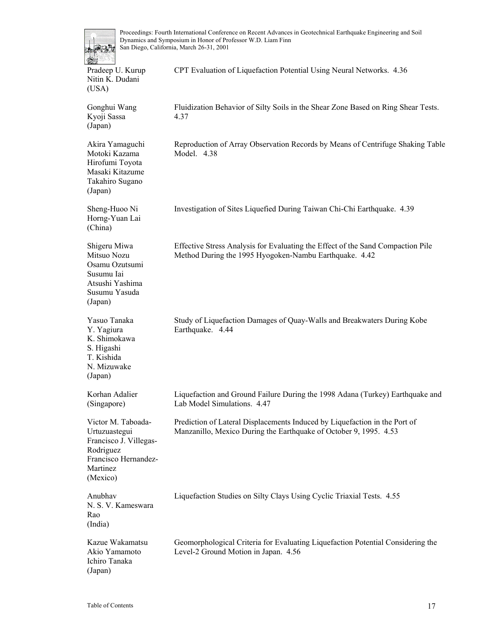| and the property of the con- |
|------------------------------|
| Pradeep U. Kurup             |
| Nitin K. Dudani              |
| (USA)                        |

Gonghui Wang Kyoji Sassa (Japan)

Akira Yamaguchi

4.37

CPT Evaluation of Liquefaction Potential Using Neural Networks. 4.36

Fluidization Behavior of Silty Soils in the Shear Zone Based on Ring Shear Tests.

Reproduction of Array Observation Records by Means of Centrifuge Shaking Table

Motoki Kazama Hirofumi Toyota Masaki Kitazume Takahiro Sugano (Japan) Model. 4.38 Sheng-Huoo Ni Horng-Yuan Lai (China) Investigation of Sites Liquefied During Taiwan Chi-Chi Earthquake. 4.39 Shigeru Miwa Mitsuo Nozu Osamu Ozutsumi Susumu Iai Atsushi Yashima Susumu Yasuda (Japan) Effective Stress Analysis for Evaluating the Effect of the Sand Compaction Pile Method During the 1995 Hyogoken-Nambu Earthquake. 4.42 Yasuo Tanaka Y. Yagiura K. Shimokawa S. Higashi T. Kishida N. Mizuwake (Japan) Study of Liquefaction Damages of Quay-Walls and Breakwaters During Kobe Earthquake. 4.44 Korhan Adalier (Singapore) Liquefaction and Ground Failure During the 1998 Adana (Turkey) Earthquake and Lab Model Simulations. 4.47 Victor M. Taboada-Urtuzuastegui Francisco J. Villegas-Rodriguez Francisco Hernandez-Martinez (Mexico) Prediction of Lateral Displacements Induced by Liquefaction in the Port of Manzanillo, Mexico During the Earthquake of October 9, 1995. 4.53 Anubhav N. S. V. Kameswara (India) Liquefaction Studies on Silty Clays Using Cyclic Triaxial Tests. 4.55

Kazue Wakamatsu Akio Yamamoto Ichiro Tanaka (Japan)

Rao

Geomorphological Criteria for Evaluating Liquefaction Potential Considering the Level-2 Ground Motion in Japan. 4.56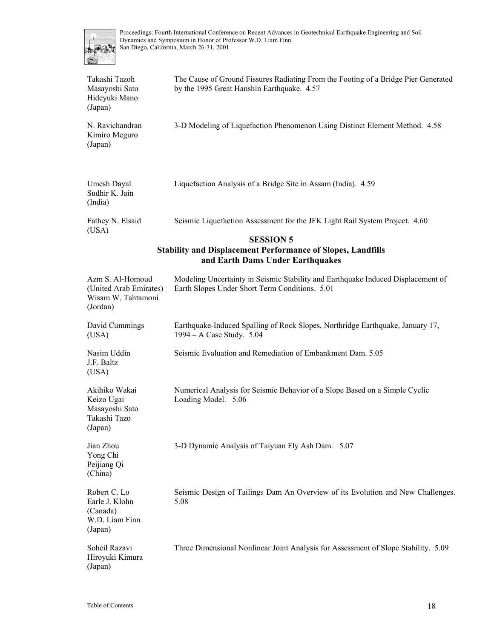

| Takashi Tazoh<br>Masayoshi Sato<br>Hideyuki Mano<br>(Japan)                                                                | The Cause of Ground Fissures Radiating From the Footing of a Bridge Pier Generated<br>by the 1995 Great Hanshin Earthquake. 4.57   |  |
|----------------------------------------------------------------------------------------------------------------------------|------------------------------------------------------------------------------------------------------------------------------------|--|
| N. Ravichandran<br>Kimiro Meguro<br>(Japan)                                                                                | 3-D Modeling of Liquefaction Phenomenon Using Distinct Element Method. 4.58                                                        |  |
| Umesh Dayal<br>Sudhir K. Jain<br>(India)                                                                                   | Liquefaction Analysis of a Bridge Site in Assam (India). 4.59                                                                      |  |
| Fathey N. Elsaid<br>(USA)                                                                                                  | Seismic Liquefaction Assessment for the JFK Light Rail System Project. 4.60                                                        |  |
| <b>SESSION 5</b><br><b>Stability and Displacement Performance of Slopes, Landfills</b><br>and Earth Dams Under Earthquakes |                                                                                                                                    |  |
| Azm S. Al-Homoud<br>(United Arab Emirates)<br>Wisam W. Tahtamoni<br>(Jordan)                                               | Modeling Uncertainty in Seismic Stability and Earthquake Induced Displacement of<br>Earth Slopes Under Short Term Conditions. 5.01 |  |
| David Cummings<br>(USA)                                                                                                    | Earthquake-Induced Spalling of Rock Slopes, Northridge Earthquake, January 17,<br>1994 – A Case Study. 5.04                        |  |
| Nasim Uddin<br>J.F. Baltz<br>(USA)                                                                                         | Seismic Evaluation and Remediation of Embankment Dam. 5.05                                                                         |  |
| Akihiko Wakai<br>Keizo Ugai<br>Masayoshi Sato<br>Takashi Tazo<br>(Japan)                                                   | Numerical Analysis for Seismic Behavior of a Slope Based on a Simple Cyclic<br>Loading Model. 5.06                                 |  |
| Jian Zhou<br>Yong Chi<br>Peijiang Qi<br>(China)                                                                            | 3-D Dynamic Analysis of Taiyuan Fly Ash Dam. 5.07                                                                                  |  |
| Robert C. Lo<br>Earle J. Klohn<br>(Canada)<br>W.D. Liam Finn<br>(Japan)                                                    | Seismic Design of Tailings Dam An Overview of its Evolution and New Challenges.<br>5.08                                            |  |
| Soheil Razavi<br>Hiroyuki Kimura<br>(Japan)                                                                                | Three Dimensional Nonlinear Joint Analysis for Assessment of Slope Stability. 5.09                                                 |  |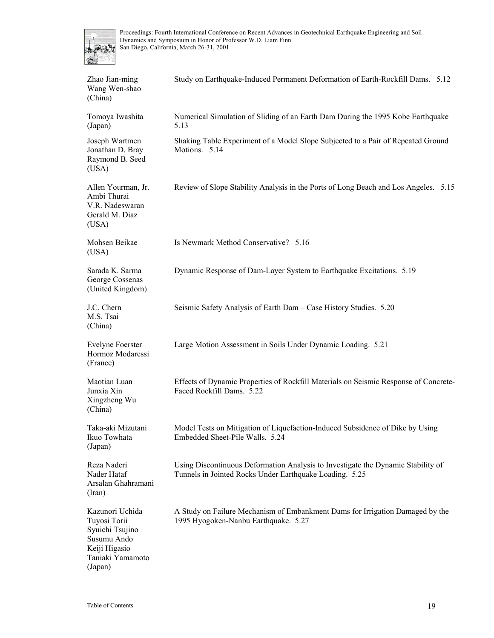

| Zhao Jian-ming<br>Wang Wen-shao<br>(China)                                                                        | Study on Earthquake-Induced Permanent Deformation of Earth-Rockfill Dams. 5.12                                                              |
|-------------------------------------------------------------------------------------------------------------------|---------------------------------------------------------------------------------------------------------------------------------------------|
| Tomoya Iwashita<br>(Japan)                                                                                        | Numerical Simulation of Sliding of an Earth Dam During the 1995 Kobe Earthquake<br>5.13                                                     |
| Joseph Wartmen<br>Jonathan D. Bray<br>Raymond B. Seed<br>(USA)                                                    | Shaking Table Experiment of a Model Slope Subjected to a Pair of Repeated Ground<br>Motions. 5.14                                           |
| Allen Yourman, Jr.<br>Ambi Thurai<br>V.R. Nadeswaran<br>Gerald M. Diaz<br>(USA)                                   | Review of Slope Stability Analysis in the Ports of Long Beach and Los Angeles. 5.15                                                         |
| Mohsen Beikae<br>(USA)                                                                                            | Is Newmark Method Conservative? 5.16                                                                                                        |
| Sarada K. Sarma<br>George Cossenas<br>(United Kingdom)                                                            | Dynamic Response of Dam-Layer System to Earthquake Excitations. 5.19                                                                        |
| J.C. Chern<br>M.S. Tsai<br>(China)                                                                                | Seismic Safety Analysis of Earth Dam - Case History Studies. 5.20                                                                           |
| <b>Evelyne Foerster</b><br>Hormoz Modaressi<br>(France)                                                           | Large Motion Assessment in Soils Under Dynamic Loading. 5.21                                                                                |
| Maotian Luan<br>Junxia Xin<br>Xingzheng Wu<br>(China)                                                             | Effects of Dynamic Properties of Rockfill Materials on Seismic Response of Concrete-<br>Faced Rockfill Dams. 5.22                           |
| Taka-aki Mizutani<br>Ikuo Towhata<br>(Japan)                                                                      | Model Tests on Mitigation of Liquefaction-Induced Subsidence of Dike by Using<br>Embedded Sheet-Pile Walls. 5.24                            |
| Reza Naderi<br>Nader Hataf<br>Arsalan Ghahramani<br>(Iran)                                                        | Using Discontinuous Deformation Analysis to Investigate the Dynamic Stability of<br>Tunnels in Jointed Rocks Under Earthquake Loading. 5.25 |
| Kazunori Uchida<br>Tuyosi Torii<br>Syuichi Tsujino<br>Susumu Ando<br>Keiji Higasio<br>Taniaki Yamamoto<br>(Japan) | A Study on Failure Mechanism of Embankment Dams for Irrigation Damaged by the<br>1995 Hyogoken-Nanbu Earthquake. 5.27                       |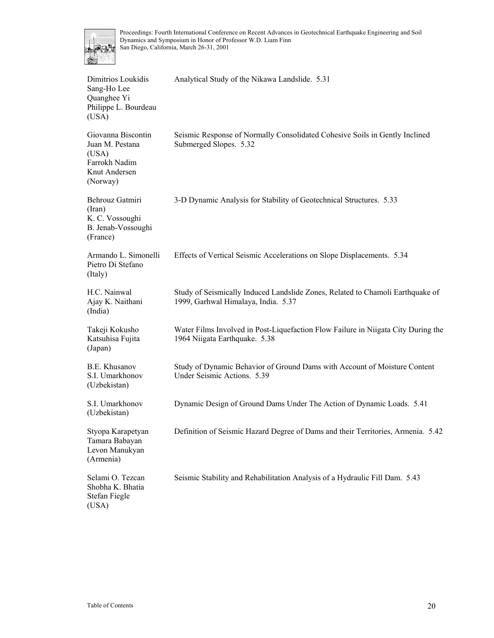

| Dimitrios Loukidis<br>Sang-Ho Lee<br>Quanghee Yi<br>Philippe L. Bourdeau<br>(USA)            | Analytical Study of the Nikawa Landslide. 5.31                                                                        |
|----------------------------------------------------------------------------------------------|-----------------------------------------------------------------------------------------------------------------------|
| Giovanna Biscontin<br>Juan M. Pestana<br>(USA)<br>Farrokh Nadim<br>Knut Andersen<br>(Norway) | Seismic Response of Normally Consolidated Cohesive Soils in Gently Inclined<br>Submerged Slopes. 5.32                 |
| Behrouz Gatmiri<br>(Iran)<br>K. C. Vossoughi<br>B. Jenab-Vossoughi<br>(France)               | 3-D Dynamic Analysis for Stability of Geotechnical Structures. 5.33                                                   |
| Armando L. Simonelli<br>Pietro Di Stefano<br>(Italy)                                         | Effects of Vertical Seismic Accelerations on Slope Displacements. 5.34                                                |
| H.C. Nainwal<br>Ajay K. Naithani<br>(India)                                                  | Study of Seismically Induced Landslide Zones, Related to Chamoli Earthquake of<br>1999, Garhwal Himalaya, India. 5.37 |
| Takeji Kokusho<br>Katsuhisa Fujita<br>(Japan)                                                | Water Films Involved in Post-Liquefaction Flow Failure in Niigata City During the<br>1964 Niigata Earthquake. 5.38    |
| B.E. Khusanov<br>S.I. Umarkhonov<br>(Uzbekistan)                                             | Study of Dynamic Behavior of Ground Dams with Account of Moisture Content<br>Under Seismic Actions. 5.39              |
| S.I. Umarkhonov<br>(Uzbekistan)                                                              | Dynamic Design of Ground Dams Under The Action of Dynamic Loads. 5.41                                                 |
| Styopa Karapetyan<br>Tamara Babayan<br>Levon Manukyan<br>(Armenia)                           | Definition of Seismic Hazard Degree of Dams and their Territories, Armenia. 5.42                                      |
| Selami O. Tezcan<br>Shobha K. Bhatia<br>Stefan Fiegle<br>(USA)                               | Seismic Stability and Rehabilitation Analysis of a Hydraulic Fill Dam. 5.43                                           |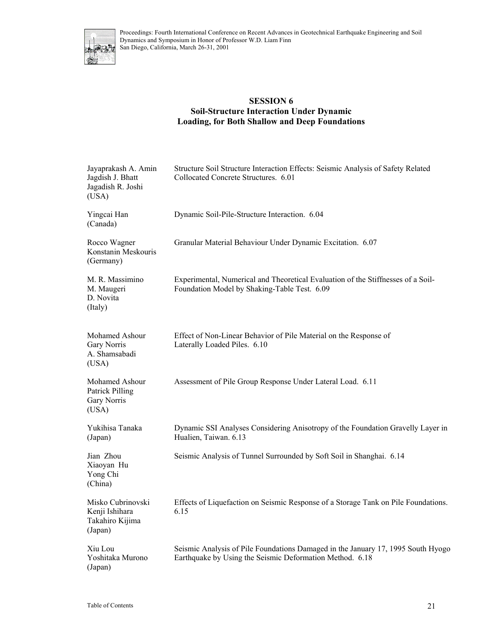

#### **SESSION 6 Soil-Structure Interaction Under Dynamic Loading, for Both Shallow and Deep Foundations**

| Jayaprakash A. Amin<br>Jagdish J. Bhatt<br>Jagadish R. Joshi<br>(USA) | Structure Soil Structure Interaction Effects: Seismic Analysis of Safety Related<br>Collocated Concrete Structures. 6.01                     |
|-----------------------------------------------------------------------|----------------------------------------------------------------------------------------------------------------------------------------------|
| Yingcai Han<br>(Canada)                                               | Dynamic Soil-Pile-Structure Interaction. 6.04                                                                                                |
| Rocco Wagner<br>Konstanin Meskouris<br>(Germany)                      | Granular Material Behaviour Under Dynamic Excitation. 6.07                                                                                   |
| M. R. Massimino<br>M. Maugeri<br>D. Novita<br>(Italy)                 | Experimental, Numerical and Theoretical Evaluation of the Stiffnesses of a Soil-<br>Foundation Model by Shaking-Table Test. 6.09             |
| Mohamed Ashour<br>Gary Norris<br>A. Shamsabadi<br>(USA)               | Effect of Non-Linear Behavior of Pile Material on the Response of<br>Laterally Loaded Piles. 6.10                                            |
| Mohamed Ashour<br>Patrick Pilling<br>Gary Norris<br>(USA)             | Assessment of Pile Group Response Under Lateral Load. 6.11                                                                                   |
| Yukihisa Tanaka<br>(Japan)                                            | Dynamic SSI Analyses Considering Anisotropy of the Foundation Gravelly Layer in<br>Hualien, Taiwan. 6.13                                     |
| Jian Zhou<br>Xiaoyan Hu<br>Yong Chi<br>(China)                        | Seismic Analysis of Tunnel Surrounded by Soft Soil in Shanghai. 6.14                                                                         |
| Misko Cubrinovski<br>Kenji Ishihara<br>Takahiro Kijima<br>(Japan)     | Effects of Liquefaction on Seismic Response of a Storage Tank on Pile Foundations.<br>6.15                                                   |
| Xiu Lou<br>Yoshitaka Murono<br>(Japan)                                | Seismic Analysis of Pile Foundations Damaged in the January 17, 1995 South Hyogo<br>Earthquake by Using the Seismic Deformation Method. 6.18 |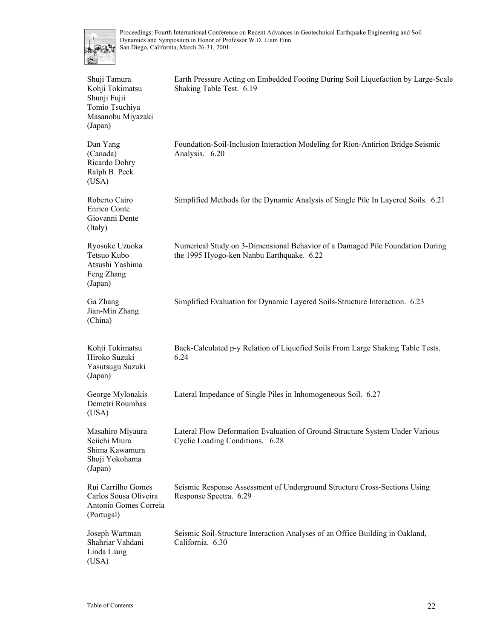

| Shuji Tamura<br>Kohji Tokimatsu<br>Shunji Fujii<br>Tomio Tsuchiya<br>Masanobu Miyazaki<br>(Japan) | Earth Pressure Acting on Embedded Footing During Soil Liquefaction by Large-Scale<br>Shaking Table Test. 6.19              |
|---------------------------------------------------------------------------------------------------|----------------------------------------------------------------------------------------------------------------------------|
| Dan Yang<br>(Canada)<br>Ricardo Dobry<br>Ralph B. Peck<br>(USA)                                   | Foundation-Soil-Inclusion Interaction Modeling for Rion-Antirion Bridge Seismic<br>Analysis. 6.20                          |
| Roberto Cairo<br>Enrico Conte<br>Giovanni Dente<br>(Italy)                                        | Simplified Methods for the Dynamic Analysis of Single Pile In Layered Soils. 6.21                                          |
| Ryosuke Uzuoka<br>Tetsuo Kubo<br>Atsushi Yashima<br>Feng Zhang<br>(Japan)                         | Numerical Study on 3-Dimensional Behavior of a Damaged Pile Foundation During<br>the 1995 Hyogo-ken Nanbu Earthquake. 6.22 |
| Ga Zhang<br>Jian-Min Zhang<br>(China)                                                             | Simplified Evaluation for Dynamic Layered Soils-Structure Interaction. 6.23                                                |
| Kohji Tokimatsu<br>Hiroko Suzuki<br>Yasutsugu Suzuki<br>(Japan)                                   | Back-Calculated p-y Relation of Liquefied Soils From Large Shaking Table Tests.<br>6.24                                    |
| George Mylonakis<br>Demetri Roumbas<br>(USA)                                                      | Lateral Impedance of Single Piles in Inhomogeneous Soil. 6.27                                                              |
| Masahiro Miyaura<br>Seiichi Miura<br>Shima Kawamura<br>Shoji Yokohama<br>(Japan)                  | Lateral Flow Deformation Evaluation of Ground-Structure System Under Various<br>Cyclic Loading Conditions. 6.28            |
| Rui Carrilho Gomes<br>Carlos Sousa Oliveira<br>Antonio Gomes Correia<br>(Portugal)                | Seismic Response Assessment of Underground Structure Cross-Sections Using<br>Response Spectra. 6.29                        |
| Joseph Wartman<br>Shahriar Vahdani<br>Linda Liang<br>(USA)                                        | Seismic Soil-Structure Interaction Analyses of an Office Building in Oakland,<br>California. 6.30                          |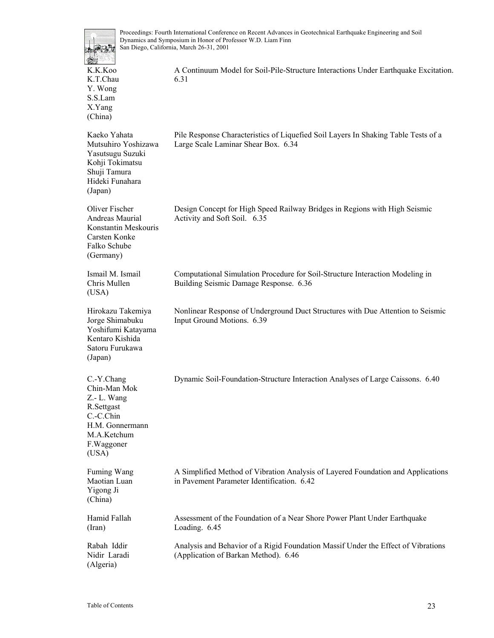

K.K.Koo K.T.Chau Y. Wong S.S.Lam X.Yang (China) A Continuum Model for Soil-Pile-Structure Interactions Under Earthquake Excitation. 6.31 Kaeko Yahata Mutsuhiro Yoshizawa Yasutsugu Suzuki Kohji Tokimatsu Shuji Tamura Hideki Funahara (Japan) Pile Response Characteristics of Liquefied Soil Layers In Shaking Table Tests of a Large Scale Laminar Shear Box. 6.34 Oliver Fischer Andreas Maurial Konstantin Meskouris Carsten Konke Falko Schube (Germany) Design Concept for High Speed Railway Bridges in Regions with High Seismic Activity and Soft Soil. 6.35 Ismail M. Ismail Chris Mullen (USA) Computational Simulation Procedure for Soil-Structure Interaction Modeling in Building Seismic Damage Response. 6.36 Hirokazu Takemiya Jorge Shimabuku Yoshifumi Katayama Kentaro Kishida Satoru Furukawa (Japan) Nonlinear Response of Underground Duct Structures with Due Attention to Seismic Input Ground Motions. 6.39 C.-Y.Chang Chin-Man Mok Z.- L. Wang R.Settgast C.-C.Chin H.M. Gonnermann M.A.Ketchum F.Waggoner (USA) Dynamic Soil-Foundation-Structure Interaction Analyses of Large Caissons. 6.40 Fuming Wang Maotian Luan Yigong Ji (China) A Simplified Method of Vibration Analysis of Layered Foundation and Applications in Pavement Parameter Identification. 6.42 Hamid Fallah (Iran) Assessment of the Foundation of a Near Shore Power Plant Under Earthquake Loading. 6.45 Rabah Iddir Nidir Laradi Analysis and Behavior of a Rigid Foundation Massif Under the Effect of Vibrations (Application of Barkan Method). 6.46

(Algeria)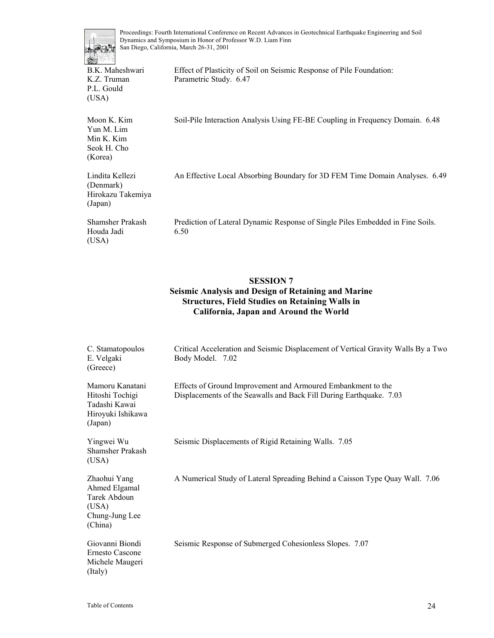

B.K. Maheshwari K.Z. Truman P.L. Gould (USA)

Moon K. Kim

Effect of Plasticity of Soil on Seismic Response of Pile Foundation: Parametric Study. 6.47

Soil-Pile Interaction Analysis Using FE-BE Coupling in Frequency Domain. 6.48

| Yun M. Lim<br>Min K. Kim<br>Seok H. Cho                      |                                                                                        |
|--------------------------------------------------------------|----------------------------------------------------------------------------------------|
| (Korea)                                                      |                                                                                        |
| Lindita Kellezi<br>(Denmark)<br>Hirokazu Takemiya<br>(Japan) | An Effective Local Absorbing Boundary for 3D FEM Time Domain Analyses. 6.49            |
| Shamsher Prakash<br>Houda Jadi<br>(USA)                      | Prediction of Lateral Dynamic Response of Single Piles Embedded in Fine Soils.<br>6.50 |

#### **SESSION 7 Seismic Analysis and Design of Retaining and Marine Structures, Field Studies on Retaining Walls in California, Japan and Around the World**

| C. Stamatopoulos<br>E. Velgaki<br>(Greece)                                          | Critical Acceleration and Seismic Displacement of Vertical Gravity Walls By a Two<br>Body Model. 7.02                               |
|-------------------------------------------------------------------------------------|-------------------------------------------------------------------------------------------------------------------------------------|
| Mamoru Kanatani<br>Hitoshi Tochigi<br>Tadashi Kawai<br>Hiroyuki Ishikawa<br>(Japan) | Effects of Ground Improvement and Armoured Embankment to the<br>Displacements of the Seawalls and Back Fill During Earthquake. 7.03 |
| Yingwei Wu<br>Shamsher Prakash<br>(USA)                                             | Seismic Displacements of Rigid Retaining Walls. 7.05                                                                                |
| Zhaohui Yang<br>Ahmed Elgamal<br>Tarek Abdoun<br>(USA)<br>Chung-Jung Lee<br>(China) | A Numerical Study of Lateral Spreading Behind a Caisson Type Quay Wall. 7.06                                                        |
| Giovanni Biondi<br>Ernesto Cascone<br>Michele Maugeri<br>(Italy)                    | Seismic Response of Submerged Cohesionless Slopes. 7.07                                                                             |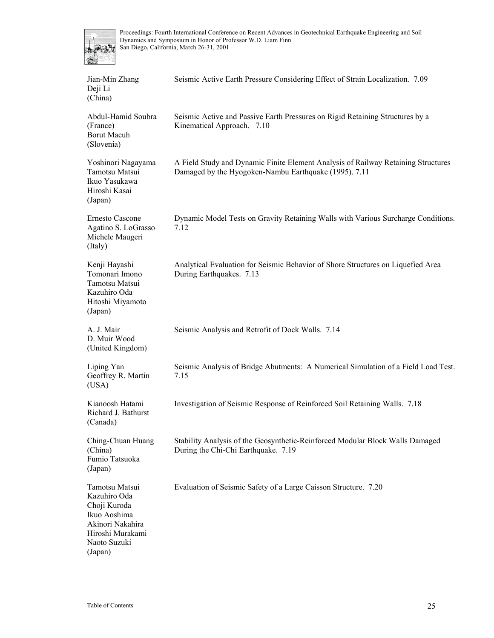

| Jian-Min Zhang<br>Deji Li<br>(China)                                                             | Seismic Active Earth Pressure Considering Effect of Strain Localization. 7.09                                                              |
|--------------------------------------------------------------------------------------------------|--------------------------------------------------------------------------------------------------------------------------------------------|
| Abdul-Hamid Soubra<br>(France)<br><b>Borut Macuh</b><br>(Slovenia)                               | Seismic Active and Passive Earth Pressures on Rigid Retaining Structures by a<br>Kinematical Approach. 7.10                                |
| Yoshinori Nagayama<br>Tamotsu Matsui<br>Ikuo Yasukawa<br>Hiroshi Kasai<br>(Japan)                | A Field Study and Dynamic Finite Element Analysis of Railway Retaining Structures<br>Damaged by the Hyogoken-Nambu Earthquake (1995). 7.11 |
| <b>Ernesto Cascone</b><br>Agatino S. LoGrasso<br>Michele Maugeri<br>(Italy)                      | Dynamic Model Tests on Gravity Retaining Walls with Various Surcharge Conditions.<br>7.12                                                  |
| Kenji Hayashi<br>Tomonari Imono<br>Tamotsu Matsui<br>Kazuhiro Oda<br>Hitoshi Miyamoto<br>(Japan) | Analytical Evaluation for Seismic Behavior of Shore Structures on Liquefied Area<br>During Earthquakes. 7.13                               |
| A. J. Mair<br>D. Muir Wood<br>(United Kingdom)                                                   | Seismic Analysis and Retrofit of Dock Walls. 7.14                                                                                          |
| Liping Yan                                                                                       | Seismic Analysis of Bridge Abutments: A Numerical Simulation of a Field Load Test.                                                         |
| Geoffrey R. Martin<br>(USA)                                                                      | 7.15                                                                                                                                       |
| Kianoosh Hatami<br>Richard J. Bathurst<br>(Canada)                                               | Investigation of Seismic Response of Reinforced Soil Retaining Walls. 7.18                                                                 |
| Ching-Chuan Huang<br>(China)<br>Fumio Tatsuoka<br>(Japan)                                        | Stability Analysis of the Geosynthetic-Reinforced Modular Block Walls Damaged<br>During the Chi-Chi Earthquake. 7.19                       |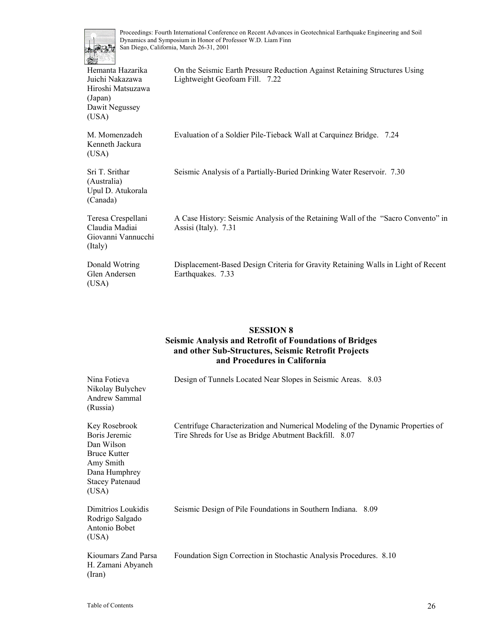

| $\mathcal{L} \rightarrow \mathcal{L}$                                                          |                                                                                                              |
|------------------------------------------------------------------------------------------------|--------------------------------------------------------------------------------------------------------------|
| Hemanta Hazarika<br>Juichi Nakazawa<br>Hiroshi Matsuzawa<br>(Japan)<br>Dawit Negussey<br>(USA) | On the Seismic Earth Pressure Reduction Against Retaining Structures Using<br>Lightweight Geofoam Fill. 7.22 |
| M. Momenzadeh<br>Kenneth Jackura<br>(USA)                                                      | Evaluation of a Soldier Pile-Tieback Wall at Carquinez Bridge. 7.24                                          |
| Sri T. Srithar<br>(Australia)<br>Upul D. Atukorala<br>(Canada)                                 | Seismic Analysis of a Partially-Buried Drinking Water Reservoir. 7.30                                        |
| Teresa Crespellani<br>Claudia Madiai<br>Giovanni Vannucchi<br>(Italy)                          | A Case History: Seismic Analysis of the Retaining Wall of the "Sacro Convento" in<br>Assisi (Italy). 7.31    |
| Donald Wotring<br>Glen Andersen<br>(USA)                                                       | Displacement-Based Design Criteria for Gravity Retaining Walls in Light of Recent<br>Earthquakes. 7.33       |

# **SESSION 8**

### **Seismic Analysis and Retrofit of Foundations of Bridges and other Sub-Structures, Seismic Retrofit Projects and Procedures in California**

| Nina Fotieva<br>Nikolay Bulychev<br>Andrew Sammal<br>(Russia)                                                                 | Design of Tunnels Located Near Slopes in Seismic Areas. 8.03                                                                             |
|-------------------------------------------------------------------------------------------------------------------------------|------------------------------------------------------------------------------------------------------------------------------------------|
| Key Rosebrook<br>Boris Jeremic<br>Dan Wilson<br>Bruce Kutter<br>Amy Smith<br>Dana Humphrey<br><b>Stacey Patenaud</b><br>(USA) | Centrifuge Characterization and Numerical Modeling of the Dynamic Properties of<br>Tire Shreds for Use as Bridge Abutment Backfill. 8.07 |
| Dimitrios Loukidis<br>Rodrigo Salgado<br>Antonio Bobet<br>(USA)                                                               | Seismic Design of Pile Foundations in Southern Indiana. 8.09                                                                             |
| Kioumars Zand Parsa<br>H. Zamani Abyaneh<br>(Iran)                                                                            | Foundation Sign Correction in Stochastic Analysis Procedures. 8.10                                                                       |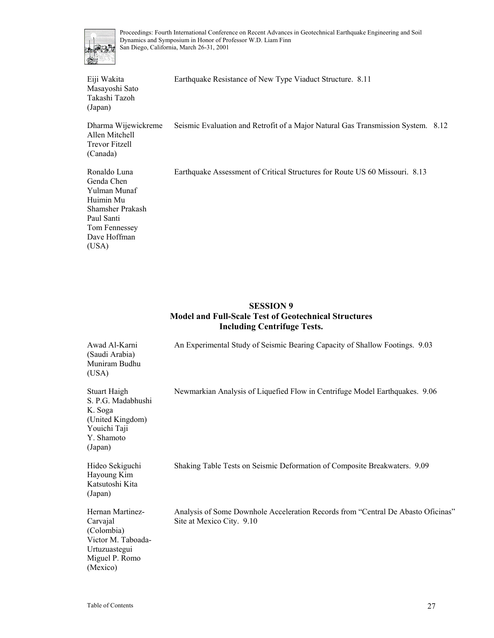

Eiji Wakita Masayoshi Sato Takashi Tazoh (Japan) Earthquake Resistance of New Type Viaduct Structure. 8.11 Dharma Wijewickreme Allen Mitchell Trevor Fitzell (Canada) Seismic Evaluation and Retrofit of a Major Natural Gas Transmission System. 8.12 Ronaldo Luna Genda Chen Yulman Munaf Huimin Mu Shamsher Prakash Paul Santi Tom Fennessey Dave Hoffman (USA) Earthquake Assessment of Critical Structures for Route US 60 Missouri. 8.13

#### **SESSION 9 Model and Full-Scale Test of Geotechnical Structures Including Centrifuge Tests.**

| Awad Al-Karni<br>(Saudi Arabia)<br>Muniram Budhu<br>(USA)                                                       | An Experimental Study of Seismic Bearing Capacity of Shallow Footings. 9.03                                   |
|-----------------------------------------------------------------------------------------------------------------|---------------------------------------------------------------------------------------------------------------|
| Stuart Haigh<br>S. P.G. Madabhushi<br>K. Soga<br>(United Kingdom)<br>Youichi Taji<br>Y. Shamoto<br>(Japan)      | Newmarkian Analysis of Liquefied Flow in Centrifuge Model Earthquakes. 9.06                                   |
| Hideo Sekiguchi<br>Hayoung Kim<br>Katsutoshi Kita<br>(Japan)                                                    | Shaking Table Tests on Seismic Deformation of Composite Breakwaters. 9.09                                     |
| Hernan Martinez-<br>Carvajal<br>(Colombia)<br>Victor M. Taboada-<br>Urtuzuastegui<br>Miguel P. Romo<br>(Mexico) | Analysis of Some Downhole Acceleration Records from "Central De Abasto Oficinas"<br>Site at Mexico City. 9.10 |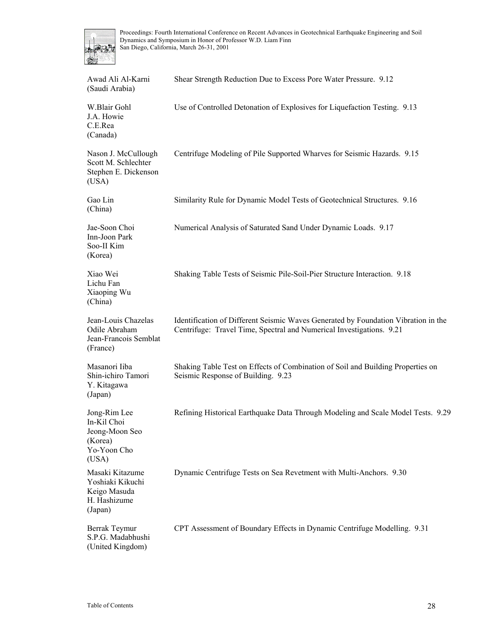

| Awad Ali Al-Karni<br>(Saudi Arabia)                                              | Shear Strength Reduction Due to Excess Pore Water Pressure. 9.12                                                                                           |
|----------------------------------------------------------------------------------|------------------------------------------------------------------------------------------------------------------------------------------------------------|
| W.Blair Gohl<br>J.A. Howie<br>C.E.Rea<br>(Canada)                                | Use of Controlled Detonation of Explosives for Liquefaction Testing. 9.13                                                                                  |
| Nason J. McCullough<br>Scott M. Schlechter<br>Stephen E. Dickenson<br>(USA)      | Centrifuge Modeling of Pile Supported Wharves for Seismic Hazards. 9.15                                                                                    |
| Gao Lin<br>(China)                                                               | Similarity Rule for Dynamic Model Tests of Geotechnical Structures. 9.16                                                                                   |
| Jae-Soon Choi<br>Inn-Joon Park<br>Soo-II Kim<br>(Korea)                          | Numerical Analysis of Saturated Sand Under Dynamic Loads. 9.17                                                                                             |
| Xiao Wei<br>Lichu Fan<br>Xiaoping Wu<br>(China)                                  | Shaking Table Tests of Seismic Pile-Soil-Pier Structure Interaction. 9.18                                                                                  |
| Jean-Louis Chazelas<br>Odile Abraham<br>Jean-Francois Semblat<br>(France)        | Identification of Different Seismic Waves Generated by Foundation Vibration in the<br>Centrifuge: Travel Time, Spectral and Numerical Investigations. 9.21 |
| Masanori Iiba<br>Shin-ichiro Tamori<br>Y. Kitagawa<br>(Japan)                    | Shaking Table Test on Effects of Combination of Soil and Building Properties on<br>Seismic Response of Building. 9.23                                      |
| Jong-Rim Lee<br>In-Kil Choi<br>Jeong-Moon Seo<br>(Korea)<br>Yo-Yoon Cho<br>(USA) | Refining Historical Earthquake Data Through Modeling and Scale Model Tests. 9.29                                                                           |
| Masaki Kitazume<br>Yoshiaki Kikuchi<br>Keigo Masuda<br>H. Hashizume<br>(Japan)   | Dynamic Centrifuge Tests on Sea Revetment with Multi-Anchors. 9.30                                                                                         |
| Berrak Teymur<br>S.P.G. Madabhushi<br>(United Kingdom)                           | CPT Assessment of Boundary Effects in Dynamic Centrifuge Modelling. 9.31                                                                                   |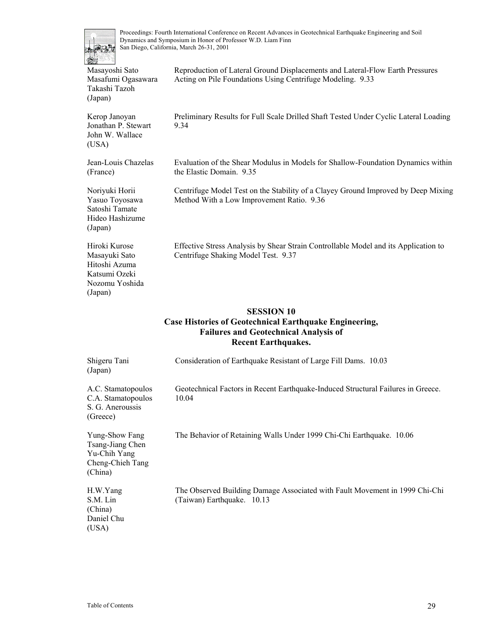

Acting on Pile Foundations Using Centrifuge Modeling. 9.33

the Elastic Domain. 9.35

Method With a Low Improvement Ratio. 9.36

Kerop Janoyan Jonathan P. Stewart John W. Wallace (USA)

Preliminary Results for Full Scale Drilled Shaft Tested Under Cyclic Lateral Loading 9.34

Evaluation of the Shear Modulus in Models for Shallow-Foundation Dynamics within

Centrifuge Model Test on the Stability of a Clayey Ground Improved by Deep Mixing

Reproduction of Lateral Ground Displacements and Lateral-Flow Earth Pressures

Jean-Louis Chazelas (France)

Noriyuki Horii Yasuo Toyosawa Satoshi Tamate Hideo Hashizume (Japan)

Hiroki Kurose Masayuki Sato Hitoshi Azuma Katsumi Ozeki Nozomu Yoshida

(Japan)

Effective Stress Analysis by Shear Strain Controllable Model and its Application to Centrifuge Shaking Model Test. 9.37

#### **SESSION 10**

#### **Case Histories of Geotechnical Earthquake Engineering, Failures and Geotechnical Analysis of Recent Earthquakes.**

| Shigeru Tani<br>(Japan)                                                           | Consideration of Earthquake Resistant of Large Fill Dams. 10.03                                           |
|-----------------------------------------------------------------------------------|-----------------------------------------------------------------------------------------------------------|
| A.C. Stamatopoulos<br>C.A. Stamatopoulos<br>S. G. Aneroussis<br>(Greece)          | Geotechnical Factors in Recent Earthquake-Induced Structural Failures in Greece.<br>10.04                 |
| Yung-Show Fang<br>Tsang-Jiang Chen<br>Yu-Chih Yang<br>Cheng-Chieh Tang<br>(China) | The Behavior of Retaining Walls Under 1999 Chi-Chi Earthquake. 10.06                                      |
| H.W.Yang<br>S.M. Lin<br>(China)<br>Daniel Chu<br>(USA)                            | The Observed Building Damage Associated with Fault Movement in 1999 Chi-Chi<br>(Taiwan) Earthquake. 10.13 |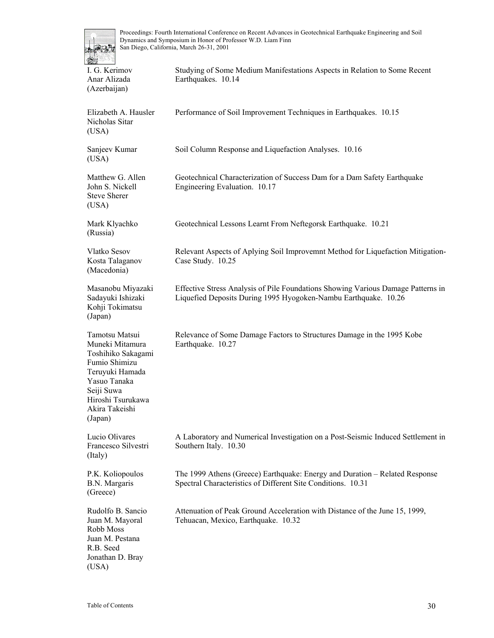

| <b>The State</b><br>ars a                                                                                                                                                   |                                                                                                                                                     |
|-----------------------------------------------------------------------------------------------------------------------------------------------------------------------------|-----------------------------------------------------------------------------------------------------------------------------------------------------|
| I. G. Kerimov<br>Anar Alizada<br>(Azerbaijan)                                                                                                                               | Studying of Some Medium Manifestations Aspects in Relation to Some Recent<br>Earthquakes. 10.14                                                     |
| Elizabeth A. Hausler<br>Nicholas Sitar<br>(USA)                                                                                                                             | Performance of Soil Improvement Techniques in Earthquakes. 10.15                                                                                    |
| Sanjeev Kumar<br>(USA)                                                                                                                                                      | Soil Column Response and Liquefaction Analyses. 10.16                                                                                               |
| Matthew G. Allen<br>John S. Nickell<br><b>Steve Sherer</b><br>(USA)                                                                                                         | Geotechnical Characterization of Success Dam for a Dam Safety Earthquake<br>Engineering Evaluation. 10.17                                           |
| Mark Klyachko<br>(Russia)                                                                                                                                                   | Geotechnical Lessons Learnt From Neftegorsk Earthquake. 10.21                                                                                       |
| Vlatko Sesov<br>Kosta Talaganov<br>(Macedonia)                                                                                                                              | Relevant Aspects of Aplying Soil Improvemnt Method for Liquefaction Mitigation-<br>Case Study. 10.25                                                |
| Masanobu Miyazaki<br>Sadayuki Ishizaki<br>Kohji Tokimatsu<br>(Japan)                                                                                                        | Effective Stress Analysis of Pile Foundations Showing Various Damage Patterns in<br>Liquefied Deposits During 1995 Hyogoken-Nambu Earthquake. 10.26 |
| Tamotsu Matsui<br>Muneki Mitamura<br>Toshihiko Sakagami<br>Fumio Shimizu<br>Teruyuki Hamada<br>Yasuo Tanaka<br>Seiji Suwa<br>Hiroshi Tsurukawa<br>Akira Takeishi<br>(Japan) | Relevance of Some Damage Factors to Structures Damage in the 1995 Kobe<br>Earthquake. 10.27                                                         |
| Lucio Olivares<br>Francesco Silvestri<br>(Italy)                                                                                                                            | A Laboratory and Numerical Investigation on a Post-Seismic Induced Settlement in<br>Southern Italy. 10.30                                           |
| P.K. Koliopoulos<br>B.N. Margaris<br>(Greece)                                                                                                                               | The 1999 Athens (Greece) Earthquake: Energy and Duration – Related Response<br>Spectral Characteristics of Different Site Conditions. 10.31         |
| Rudolfo B. Sancio<br>Juan M. Mayoral<br>Robb Moss<br>Juan M. Pestana<br>R.B. Seed<br>Jonathan D. Bray<br>(USA)                                                              | Attenuation of Peak Ground Acceleration with Distance of the June 15, 1999,<br>Tehuacan, Mexico, Earthquake. 10.32                                  |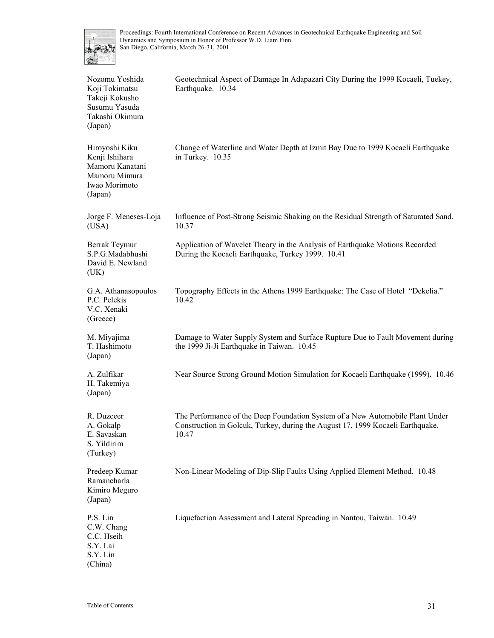

| Nozomu Yoshida<br>Koji Tokimatsu<br>Takeji Kokusho<br>Susumu Yasuda<br>Takashi Okimura<br>(Japan) | Geotechnical Aspect of Damage In Adapazari City During the 1999 Kocaeli, Tuekey,<br>Earthquake. 10.34                                                                    |
|---------------------------------------------------------------------------------------------------|--------------------------------------------------------------------------------------------------------------------------------------------------------------------------|
| Hiroyoshi Kiku<br>Kenji Ishihara<br>Mamoru Kanatani<br>Mamoru Mimura<br>Iwao Morimoto<br>(Japan)  | Change of Waterline and Water Depth at Izmit Bay Due to 1999 Kocaeli Earthquake<br>in Turkey. 10.35                                                                      |
| Jorge F. Meneses-Loja<br>(USA)                                                                    | Influence of Post-Strong Seismic Shaking on the Residual Strength of Saturated Sand.<br>10.37                                                                            |
| Berrak Teymur<br>S.P.G.Madabhushi<br>David E. Newland<br>(UK)                                     | Application of Wavelet Theory in the Analysis of Earthquake Motions Recorded<br>During the Kocaeli Earthquake, Turkey 1999. 10.41                                        |
| G.A. Athanasopoulos<br>P.C. Pelekis<br>V.C. Xenaki<br>(Greece)                                    | Topography Effects in the Athens 1999 Earthquake: The Case of Hotel "Dekelia."<br>10.42                                                                                  |
| M. Miyajima<br>T. Hashimoto<br>(Japan)                                                            | Damage to Water Supply System and Surface Rupture Due to Fault Movement during<br>the 1999 Ji-Ji Earthquake in Taiwan. 10.45                                             |
| A. Zulfikar<br>H. Takemiya<br>(Japan)                                                             | Near Source Strong Ground Motion Simulation for Kocaeli Earthquake (1999). 10.46                                                                                         |
| R. Duzceer<br>A. Gokalp<br>E. Savaskan<br>S. Yildirim<br>(Turkey)                                 | The Performance of the Deep Foundation System of a New Automobile Plant Under<br>Construction in Golcuk, Turkey, during the August 17, 1999 Kocaeli Earthquake.<br>10.47 |
| Predeep Kumar<br>Ramancharla<br>Kimiro Meguro<br>(Japan)                                          | Non-Linear Modeling of Dip-Slip Faults Using Applied Element Method. 10.48                                                                                               |
| P.S. Lin<br>C.W. Chang<br>C.C. Hseih<br>S.Y. Lai<br>S.Y. Lin<br>(China)                           | Liquefaction Assessment and Lateral Spreading in Nantou, Taiwan. 10.49                                                                                                   |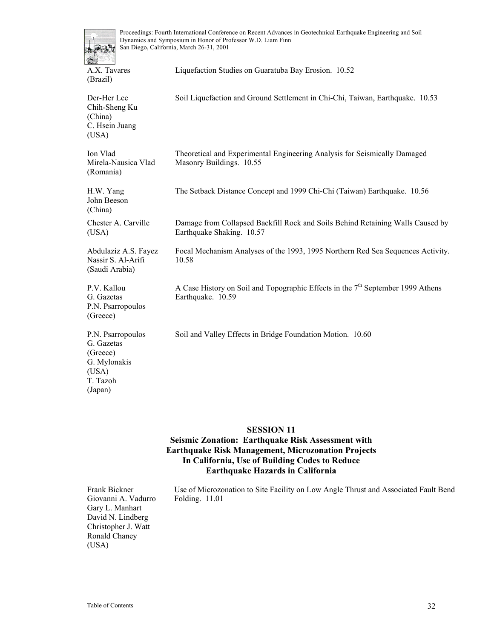

A.X. Tavares (Brazil)

Liquefaction Studies on Guaratuba Bay Erosion. 10.52

Der-Her Lee Chih-Sheng Ku (China) C. Hsein Juang (USA) Soil Liquefaction and Ground Settlement in Chi-Chi, Taiwan, Earthquake. 10.53 Ion Vlad Mirela-Nausica Vlad (Romania) Theoretical and Experimental Engineering Analysis for Seismically Damaged Masonry Buildings. 10.55 H.W. Yang John Beeson (China) The Setback Distance Concept and 1999 Chi-Chi (Taiwan) Earthquake. 10.56 Chester A. Carville (USA) Damage from Collapsed Backfill Rock and Soils Behind Retaining Walls Caused by Earthquake Shaking. 10.57 Abdulaziz A.S. Fayez Nassir S. Al-Arifi (Saudi Arabia) Focal Mechanism Analyses of the 1993, 1995 Northern Red Sea Sequences Activity. 10.58 P.V. Kallou G. Gazetas P.N. Psarropoulos (Greece) A Case History on Soil and Topographic Effects in the  $7<sup>th</sup>$  September 1999 Athens Earthquake. 10.59 P.N. Psarropoulos G. Gazetas (Greece) G. Mylonakis (USA) T. Tazoh (Japan) Soil and Valley Effects in Bridge Foundation Motion. 10.60

#### **SESSION 11**

#### **Seismic Zonation: Earthquake Risk Assessment with Earthquake Risk Management, Microzonation Projects In California, Use of Building Codes to Reduce Earthquake Hazards in California**

Frank Bickner Giovanni A. Vadurro Gary L. Manhart David N. Lindberg Christopher J. Watt Ronald Chaney (USA) Use of Microzonation to Site Facility on Low Angle Thrust and Associated Fault Bend Folding. 11.01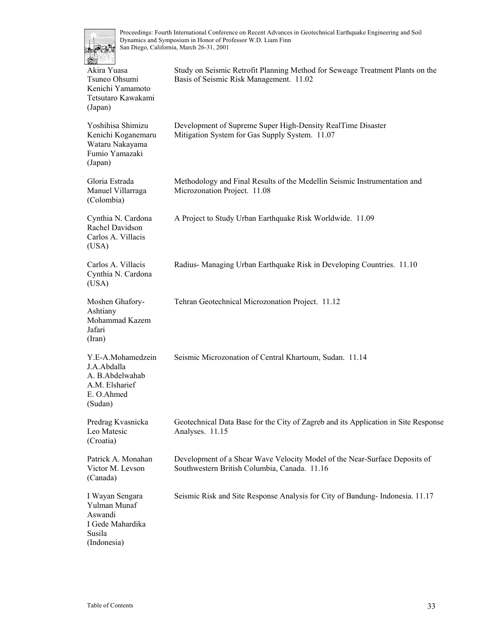

| 1989<br><u>in</u> es ll<br>Akira Yuasa<br>Tsuneo Ohsumi<br>Kenichi Yamamoto<br>Tetsutaro Kawakami<br>(Japan) | Study on Seismic Retrofit Planning Method for Seweage Treatment Plants on the<br>Basis of Seismic Risk Management. 11.02   |
|--------------------------------------------------------------------------------------------------------------|----------------------------------------------------------------------------------------------------------------------------|
| Yoshihisa Shimizu<br>Kenichi Koganemaru<br>Wataru Nakayama<br>Fumio Yamazaki<br>(Japan)                      | Development of Supreme Super High-Density RealTime Disaster<br>Mitigation System for Gas Supply System. 11.07              |
| Gloria Estrada<br>Manuel Villarraga<br>(Colombia)                                                            | Methodology and Final Results of the Medellin Seismic Instrumentation and<br>Microzonation Project. 11.08                  |
| Cynthia N. Cardona<br>Rachel Davidson<br>Carlos A. Villacis<br>(USA)                                         | A Project to Study Urban Earthquake Risk Worldwide. 11.09                                                                  |
| Carlos A. Villacis<br>Cynthia N. Cardona<br>(USA)                                                            | Radius-Managing Urban Earthquake Risk in Developing Countries. 11.10                                                       |
| Moshen Ghafory-<br>Ashtiany<br>Mohammad Kazem<br>Jafari<br>(Iran)                                            | Tehran Geotechnical Microzonation Project. 11.12                                                                           |
| Y.E-A.Mohamedzein<br>J.A.Abdalla<br>A. B. Abdelwahab<br>A.M. Elsharief<br>E. O.Ahmed<br>(Sudan)              | Seismic Microzonation of Central Khartoum, Sudan. 11.14                                                                    |
| Predrag Kvasnicka<br>Leo Matesic<br>(Croatia)                                                                | Geotechnical Data Base for the City of Zagreb and its Application in Site Response<br>Analyses. 11.15                      |
| Patrick A. Monahan<br>Victor M. Levson<br>(Canada)                                                           | Development of a Shear Wave Velocity Model of the Near-Surface Deposits of<br>Southwestern British Columbia, Canada. 11.16 |
| I Wayan Sengara<br>Yulman Munaf<br>Aswandi<br>I Gede Mahardika<br>Susila<br>(Indonesia)                      | Seismic Risk and Site Response Analysis for City of Bandung-Indonesia. 11.17                                               |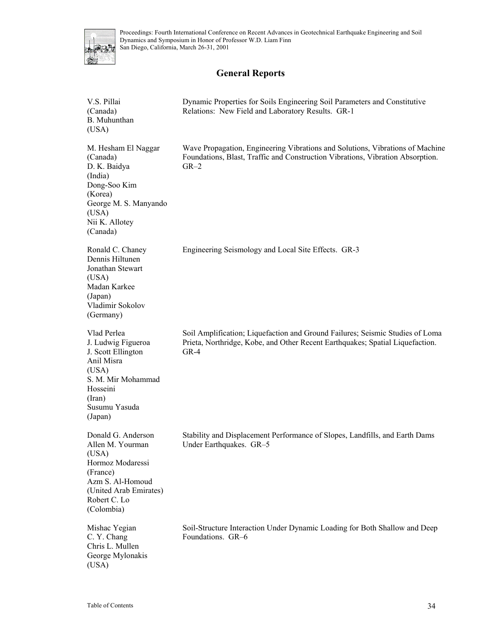

# **General Reports**

| V.S. Pillai<br>(Canada)<br>B. Muhunthan<br>(USA)                                                                                                            | Dynamic Properties for Soils Engineering Soil Parameters and Constitutive<br>Relations: New Field and Laboratory Results. GR-1                                            |
|-------------------------------------------------------------------------------------------------------------------------------------------------------------|---------------------------------------------------------------------------------------------------------------------------------------------------------------------------|
| M. Hesham El Naggar<br>(Canada)<br>D. K. Baidya<br>(India)<br>Dong-Soo Kim<br>(Korea)<br>George M. S. Manyando<br>(USA)<br>Nii K. Allotey<br>(Canada)       | Wave Propagation, Engineering Vibrations and Solutions, Vibrations of Machine<br>Foundations, Blast, Traffic and Construction Vibrations, Vibration Absorption.<br>$GR-2$ |
| Ronald C. Chaney<br>Dennis Hiltunen<br>Jonathan Stewart<br>(USA)<br>Madan Karkee<br>(Japan)<br>Vladimir Sokolov<br>(Germany)                                | Engineering Seismology and Local Site Effects. GR-3                                                                                                                       |
| Vlad Perlea<br>J. Ludwig Figueroa<br>J. Scott Ellington<br>Anil Misra<br>(USA)<br>S. M. Mir Mohammad<br>Hosseini<br>(Iran)<br>Susumu Yasuda<br>(Japan)      | Soil Amplification; Liquefaction and Ground Failures; Seismic Studies of Loma<br>Prieta, Northridge, Kobe, and Other Recent Earthquakes; Spatial Liquefaction.<br>$GR-4$  |
| Donald G. Anderson<br>Allen M. Yourman<br>(USA)<br>Hormoz Modaressi<br>(France)<br>Azm S. Al-Homoud<br>(United Arab Emirates)<br>Robert C. Lo<br>(Colombia) | Stability and Displacement Performance of Slopes, Landfills, and Earth Dams<br>Under Earthquakes. GR-5                                                                    |
| Mishac Yegian<br>C. Y. Chang<br>Chris L. Mullen<br>George Mylonakis<br>(USA)                                                                                | Soil-Structure Interaction Under Dynamic Loading for Both Shallow and Deep<br>Foundations. GR-6                                                                           |